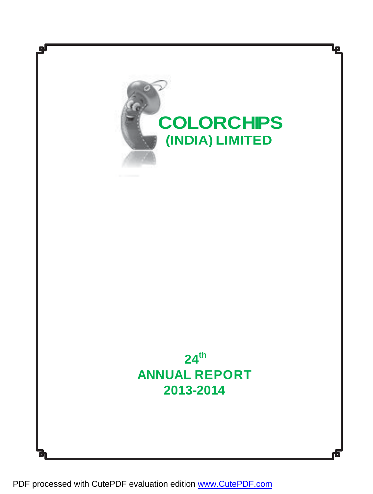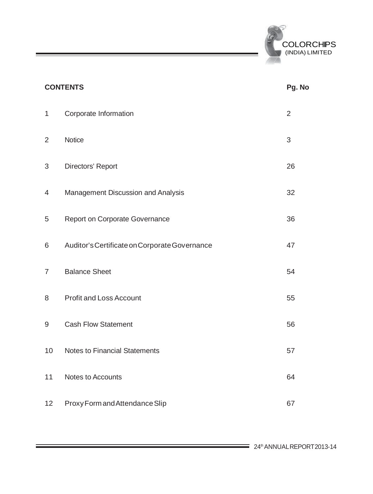

|                | <b>CONTENTS</b>                               | Pg. No         |
|----------------|-----------------------------------------------|----------------|
| $\mathbf{1}$   | Corporate Information                         | $\overline{2}$ |
| $\overline{2}$ | Notice                                        | 3              |
| 3              | Directors' Report                             | 26             |
| 4              | Management Discussion and Analysis            | 32             |
| 5              | Report on Corporate Governance                | 36             |
| 6              | Auditor's Certificate on Corporate Governance | 47             |
| $\overline{7}$ | <b>Balance Sheet</b>                          | 54             |
| 8              | <b>Profit and Loss Account</b>                | 55             |
| 9              | <b>Cash Flow Statement</b>                    | 56             |
| 10             | Notes to Financial Statements                 | 57             |
| 11             | Notes to Accounts                             | 64             |
| 12             | Proxy Form and Attendance Slip                | 67             |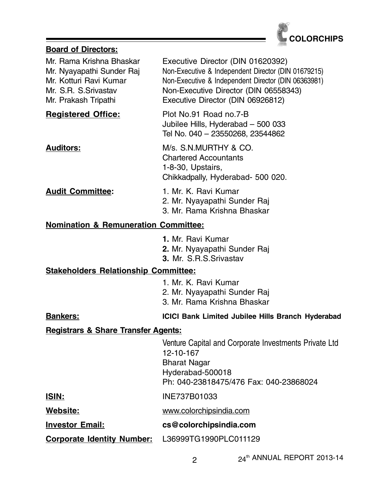

# **Board of Directors:**

| Mr. Rama Krishna Bhaskar<br>Mr. Nyayapathi Sunder Raj<br>Mr. Kotturi Ravi Kumar<br>Mr. S.R. S.Srivastav<br>Mr. Prakash Tripathi | Executive Director (DIN 01620392)<br>Non-Executive & Independent Director (DIN 01679215)<br>Non-Executive & Independent Director (DIN 06363981)<br>Non-Executive Director (DIN 06558343)<br>Executive Director (DIN 06926812) |
|---------------------------------------------------------------------------------------------------------------------------------|-------------------------------------------------------------------------------------------------------------------------------------------------------------------------------------------------------------------------------|
| <b>Registered Office:</b>                                                                                                       | Plot No.91 Road no.7-B<br>Jubilee Hills, Hyderabad - 500 033<br>Tel No. 040 - 23550268, 23544862                                                                                                                              |
| <b>Auditors:</b>                                                                                                                | M/s. S.N.MURTHY & CO.<br><b>Chartered Accountants</b><br>1-8-30, Upstairs,<br>Chikkadpally, Hyderabad- 500 020.                                                                                                               |
| <b>Audit Committee:</b>                                                                                                         | 1. Mr. K. Ravi Kumar<br>2. Mr. Nyayapathi Sunder Raj<br>3. Mr. Rama Krishna Bhaskar                                                                                                                                           |
| <b>Nomination &amp; Remuneration Committee:</b>                                                                                 |                                                                                                                                                                                                                               |
|                                                                                                                                 | 1. Mr. Ravi Kumar<br>2. Mr. Nyayapathi Sunder Raj<br>3. Mr. S.R.S.Srivastav                                                                                                                                                   |
| <b>Stakeholders Relationship Committee:</b>                                                                                     |                                                                                                                                                                                                                               |
|                                                                                                                                 | 1. Mr. K. Ravi Kumar<br>2. Mr. Nyayapathi Sunder Raj<br>3. Mr. Rama Krishna Bhaskar                                                                                                                                           |
| <b>Bankers:</b>                                                                                                                 | ICICI Bank Limited Jubilee Hills Branch Hyderabad                                                                                                                                                                             |
| <b>Registrars &amp; Share Transfer Agents:</b>                                                                                  |                                                                                                                                                                                                                               |
|                                                                                                                                 | Venture Capital and Corporate Investments Private Ltd<br>12-10-167<br><b>Bharat Nagar</b><br>Hyderabad-500018<br>Ph: 040-23818475/476 Fax: 040-23868024                                                                       |
| <b>ISIN:</b>                                                                                                                    | INE737B01033                                                                                                                                                                                                                  |
| Website:                                                                                                                        | www.colorchipsindia.com                                                                                                                                                                                                       |
| <b>Investor Email:</b>                                                                                                          | cs@colorchipsindia.com                                                                                                                                                                                                        |
| <b>Corporate Identity Number:</b>                                                                                               | L36999TG1990PLC011129                                                                                                                                                                                                         |
|                                                                                                                                 |                                                                                                                                                                                                                               |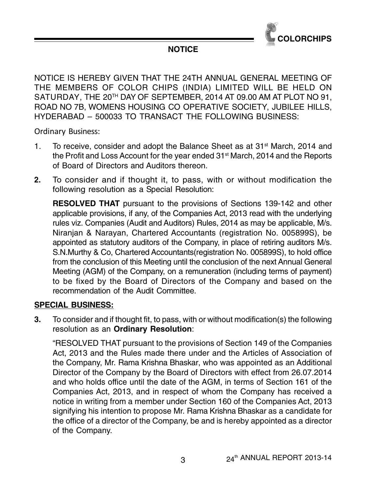

# **NOTICE**

NOTICE IS HEREBY GIVEN THAT THE 24TH ANNUAL GENERAL MEETING OF THE MEMBERS OF COLOR CHIPS (INDIA) LIMITED WILL BE HELD ON SATURDAY, THE 20<sup>TH</sup> DAY OF SEPTEMBER, 2014 AT 09.00 AM AT PLOT NO 91, ROAD NO 7B, WOMENS HOUSING CO OPERATIVE SOCIETY, JUBILEE HILLS, HYDERABAD – 500033 TO TRANSACT THE FOLLOWING BUSINESS:

Ordinary Business:

- 1. To receive, consider and adopt the Balance Sheet as at  $31<sup>st</sup>$  March, 2014 and the Profit and Loss Account for the year ended 31<sup>st</sup> March, 2014 and the Reports of Board of Directors and Auditors thereon.
- **2.** To consider and if thought it, to pass, with or without modification the following resolution as a Special Resolution:

**RESOLVED THAT** pursuant to the provisions of Sections 139-142 and other applicable provisions, if any, of the Companies Act, 2013 read with the underlying rules viz. Companies (Audit and Auditors) Rules, 2014 as may be applicable, M/s. Niranjan & Narayan, Chartered Accountants (registration No. 005899S), be appointed as statutory auditors of the Company, in place of retiring auditors M/s. S.N.Murthy & Co, Chartered Accountants(registration No. 005899S), to hold office from the conclusion of this Meeting until the conclusion of the next Annual General Meeting (AGM) of the Company, on a remuneration (including terms of payment) to be fixed by the Board of Directors of the Company and based on the recommendation of the Audit Committee.

# **SPECIAL BUSINESS:**

**3.** To consider and if thought fit, to pass, with or without modification(s) the following resolution as an **Ordinary Resolution**:

"RESOLVED THAT pursuant to the provisions of Section 149 of the Companies Act, 2013 and the Rules made there under and the Articles of Association of the Company, Mr. Rama Krishna Bhaskar, who was appointed as an Additional Director of the Company by the Board of Directors with effect from 26.07.2014 and who holds office until the date of the AGM, in terms of Section 161 of the Companies Act, 2013, and in respect of whom the Company has received a notice in writing from a member under Section 160 of the Companies Act, 2013 signifying his intention to propose Mr. Rama Krishna Bhaskar as a candidate for the office of a director of the Company, be and is hereby appointed as a director of the Company.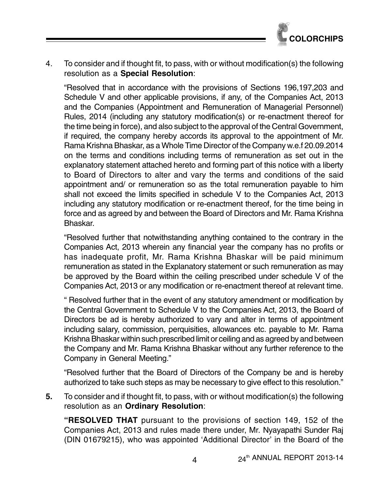

4. To consider and if thought fit, to pass, with or without modification(s) the following resolution as a **Special Resolution**:

"Resolved that in accordance with the provisions of Sections 196,197,203 and Schedule V and other applicable provisions, if any, of the Companies Act, 2013 and the Companies (Appointment and Remuneration of Managerial Personnel) Rules, 2014 (including any statutory modification(s) or re-enactment thereof for the time being in force), and also subject to the approval of the Central Government, if required, the company hereby accords its approval to the appointment of Mr. Rama Krishna Bhaskar, as a Whole Time Director of the Company w.e.f 20.09.2014 on the terms and conditions including terms of remuneration as set out in the explanatory statement attached hereto and forming part of this notice with a liberty to Board of Directors to alter and vary the terms and conditions of the said appointment and/ or remuneration so as the total remuneration payable to him shall not exceed the limits specified in schedule V to the Companies Act, 2013 including any statutory modification or re-enactment thereof, for the time being in force and as agreed by and between the Board of Directors and Mr. Rama Krishna Bhaskar.

"Resolved further that notwithstanding anything contained to the contrary in the Companies Act, 2013 wherein any financial year the company has no profits or has inadequate profit, Mr. Rama Krishna Bhaskar will be paid minimum remuneration as stated in the Explanatory statement or such remuneration as may be approved by the Board within the ceiling prescribed under schedule V of the Companies Act, 2013 or any modification or re-enactment thereof at relevant time.

" Resolved further that in the event of any statutory amendment or modification by the Central Government to Schedule V to the Companies Act, 2013, the Board of Directors be ad is hereby authorized to vary and alter in terms of appointment including salary, commission, perquisities, allowances etc. payable to Mr. Rama Krishna Bhaskar within such prescribed limit or ceiling and as agreed by and between the Company and Mr. Rama Krishna Bhaskar without any further reference to the Company in General Meeting."

"Resolved further that the Board of Directors of the Company be and is hereby authorized to take such steps as may be necessary to give effect to this resolution."

**5.** To consider and if thought fit, to pass, with or without modification(s) the following resolution as an **Ordinary Resolution**:

**"RESOLVED THAT** pursuant to the provisions of section 149, 152 of the Companies Act, 2013 and rules made there under, Mr. Nyayapathi Sunder Raj (DIN 01679215), who was appointed 'Additional Director' in the Board of the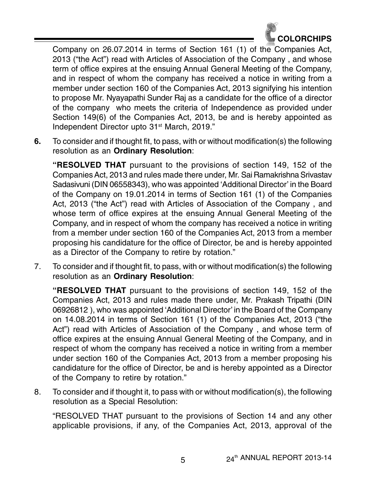

Company on 26.07.2014 in terms of Section 161 (1) of the Companies Act, 2013 ("the Act") read with Articles of Association of the Company , and whose term of office expires at the ensuing Annual General Meeting of the Company, and in respect of whom the company has received a notice in writing from a member under section 160 of the Companies Act, 2013 signifying his intention to propose Mr. Nyayapathi Sunder Raj as a candidate for the office of a director of the company who meets the criteria of Independence as provided under Section 149(6) of the Companies Act, 2013, be and is hereby appointed as Independent Director upto 31st March, 2019."

**6.** To consider and if thought fit, to pass, with or without modification(s) the following resolution as an **Ordinary Resolution**:

**"RESOLVED THAT** pursuant to the provisions of section 149, 152 of the Companies Act, 2013 and rules made there under, Mr. Sai Ramakrishna Srivastav Sadasivuni (DIN 06558343), who was appointed 'Additional Director' in the Board of the Company on 19.01.2014 in terms of Section 161 (1) of the Companies Act, 2013 ("the Act") read with Articles of Association of the Company , and whose term of office expires at the ensuing Annual General Meeting of the Company, and in respect of whom the company has received a notice in writing from a member under section 160 of the Companies Act, 2013 from a member proposing his candidature for the office of Director, be and is hereby appointed as a Director of the Company to retire by rotation."

7. To consider and if thought fit, to pass, with or without modification(s) the following resolution as an **Ordinary Resolution**:

**"RESOLVED THAT** pursuant to the provisions of section 149, 152 of the Companies Act, 2013 and rules made there under, Mr. Prakash Tripathi (DIN 06926812 ), who was appointed 'Additional Director' in the Board of the Company on 14.08.2014 in terms of Section 161 (1) of the Companies Act, 2013 ("the Act") read with Articles of Association of the Company , and whose term of office expires at the ensuing Annual General Meeting of the Company, and in respect of whom the company has received a notice in writing from a member under section 160 of the Companies Act, 2013 from a member proposing his candidature for the office of Director, be and is hereby appointed as a Director of the Company to retire by rotation."

8. To consider and if thought it, to pass with or without modification(s), the following resolution as a Special Resolution:

"RESOLVED THAT pursuant to the provisions of Section 14 and any other applicable provisions, if any, of the Companies Act, 2013, approval of the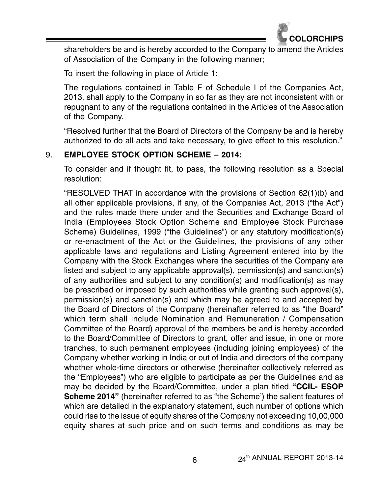

shareholders be and is hereby accorded to the Company to amend the Articles of Association of the Company in the following manner;

To insert the following in place of Article 1:

The regulations contained in Table F of Schedule I of the Companies Act, 2013, shall apply to the Company in so far as they are not inconsistent with or repugnant to any of the regulations contained in the Articles of the Association of the Company.

"Resolved further that the Board of Directors of the Company be and is hereby authorized to do all acts and take necessary, to give effect to this resolution."

# 9. **EMPLOYEE STOCK OPTION SCHEME – 2014:**

To consider and if thought fit, to pass, the following resolution as a Special resolution:

"RESOLVED THAT in accordance with the provisions of Section 62(1)(b) and all other applicable provisions, if any, of the Companies Act, 2013 ("the Act") and the rules made there under and the Securities and Exchange Board of India (Employees Stock Option Scheme and Employee Stock Purchase Scheme) Guidelines, 1999 ("the Guidelines") or any statutory modification(s) or re-enactment of the Act or the Guidelines, the provisions of any other applicable laws and regulations and Listing Agreement entered into by the Company with the Stock Exchanges where the securities of the Company are listed and subject to any applicable approval(s), permission(s) and sanction(s) of any authorities and subject to any condition(s) and modification(s) as may be prescribed or imposed by such authorities while granting such approval(s), permission(s) and sanction(s) and which may be agreed to and accepted by the Board of Directors of the Company (hereinafter referred to as "the Board" which term shall include Nomination and Remuneration / Compensation Committee of the Board) approval of the members be and is hereby accorded to the Board/Committee of Directors to grant, offer and issue, in one or more tranches, to such permanent employees (including joining employees) of the Company whether working in India or out of India and directors of the company whether whole-time directors or otherwise (hereinafter collectively referred as the "Employees") who are eligible to participate as per the Guidelines and as may be decided by the Board/Committee, under a plan titled **"CCIL- ESOP Scheme 2014"** (hereinafter referred to as "the Scheme') the salient features of which are detailed in the explanatory statement, such number of options which could rise to the issue of equity shares of the Company not exceeding 10,00,000 equity shares at such price and on such terms and conditions as may be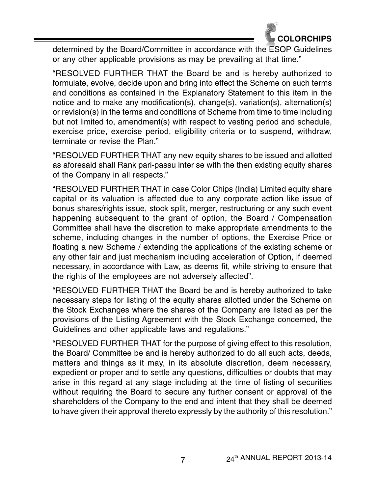

determined by the Board/Committee in accordance with the ESOP Guidelines or any other applicable provisions as may be prevailing at that time."

"RESOLVED FURTHER THAT the Board be and is hereby authorized to formulate, evolve, decide upon and bring into effect the Scheme on such terms and conditions as contained in the Explanatory Statement to this item in the notice and to make any modification(s), change(s), variation(s), alternation(s) or revision(s) in the terms and conditions of Scheme from time to time including but not limited to, amendment(s) with respect to vesting period and schedule, exercise price, exercise period, eligibility criteria or to suspend, withdraw, terminate or revise the Plan."

"RESOLVED FURTHER THAT any new equity shares to be issued and allotted as aforesaid shall Rank pari-passu inter se with the then existing equity shares of the Company in all respects."

"RESOLVED FURTHER THAT in case Color Chips (India) Limited equity share capital or its valuation is affected due to any corporate action like issue of bonus shares/rights issue, stock split, merger, restructuring or any such event happening subsequent to the grant of option, the Board / Compensation Committee shall have the discretion to make appropriate amendments to the scheme, including changes in the number of options, the Exercise Price or floating a new Scheme / extending the applications of the existing scheme or any other fair and just mechanism including acceleration of Option, if deemed necessary, in accordance with Law, as deems fit, while striving to ensure that the rights of the employees are not adversely affected".

"RESOLVED FURTHER THAT the Board be and is hereby authorized to take necessary steps for listing of the equity shares allotted under the Scheme on the Stock Exchanges where the shares of the Company are listed as per the provisions of the Listing Agreement with the Stock Exchange concerned, the Guidelines and other applicable laws and regulations."

"RESOLVED FURTHER THAT for the purpose of giving effect to this resolution, the Board/ Committee be and is hereby authorized to do all such acts, deeds, matters and things as it may, in its absolute discretion, deem necessary, expedient or proper and to settle any questions, difficulties or doubts that may arise in this regard at any stage including at the time of listing of securities without requiring the Board to secure any further consent or approval of the shareholders of the Company to the end and intent that they shall be deemed to have given their approval thereto expressly by the authority of this resolution."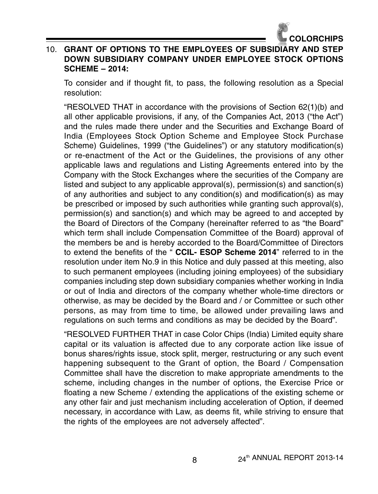

# 10. **GRANT OF OPTIONS TO THE EMPLOYEES OF SUBSIDIARY AND STEP DOWN SUBSIDIARY COMPANY UNDER EMPLOYEE STOCK OPTIONS SCHEME – 2014:**

To consider and if thought fit, to pass, the following resolution as a Special resolution:

"RESOLVED THAT in accordance with the provisions of Section 62(1)(b) and all other applicable provisions, if any, of the Companies Act, 2013 ("the Act") and the rules made there under and the Securities and Exchange Board of India (Employees Stock Option Scheme and Employee Stock Purchase Scheme) Guidelines, 1999 ("the Guidelines") or any statutory modification(s) or re-enactment of the Act or the Guidelines, the provisions of any other applicable laws and regulations and Listing Agreements entered into by the Company with the Stock Exchanges where the securities of the Company are listed and subject to any applicable approval(s), permission(s) and sanction(s) of any authorities and subject to any condition(s) and modification(s) as may be prescribed or imposed by such authorities while granting such approval(s), permission(s) and sanction(s) and which may be agreed to and accepted by the Board of Directors of the Company (hereinafter referred to as "the Board" which term shall include Compensation Committee of the Board) approval of the members be and is hereby accorded to the Board/Committee of Directors to extend the benefits of the " **CCIL- ESOP Scheme 2014**" referred to in the resolution under item No.9 in this Notice and duly passed at this meeting, also to such permanent employees (including joining employees) of the subsidiary companies including step down subsidiary companies whether working in India or out of India and directors of the company whether whole-time directors or otherwise, as may be decided by the Board and / or Committee or such other persons, as may from time to time, be allowed under prevailing laws and regulations on such terms and conditions as may be decided by the Board".

"RESOLVED FURTHER THAT in case Color Chips (India) Limited equity share capital or its valuation is affected due to any corporate action like issue of bonus shares/rights issue, stock split, merger, restructuring or any such event happening subsequent to the Grant of option, the Board / Compensation Committee shall have the discretion to make appropriate amendments to the scheme, including changes in the number of options, the Exercise Price or floating a new Scheme / extending the applications of the existing scheme or any other fair and just mechanism including acceleration of Option, if deemed necessary, in accordance with Law, as deems fit, while striving to ensure that the rights of the employees are not adversely affected".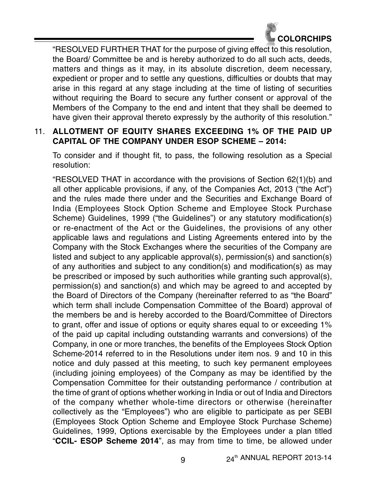

"RESOLVED FURTHER THAT for the purpose of giving effect to this resolution, the Board/ Committee be and is hereby authorized to do all such acts, deeds, matters and things as it may, in its absolute discretion, deem necessary, expedient or proper and to settle any questions, difficulties or doubts that may arise in this regard at any stage including at the time of listing of securities without requiring the Board to secure any further consent or approval of the Members of the Company to the end and intent that they shall be deemed to have given their approval thereto expressly by the authority of this resolution."

# 11. **ALLOTMENT OF EQUITY SHARES EXCEEDING 1% OF THE PAID UP CAPITAL OF THE COMPANY UNDER ESOP SCHEME – 2014:**

To consider and if thought fit, to pass, the following resolution as a Special resolution:

"RESOLVED THAT in accordance with the provisions of Section 62(1)(b) and all other applicable provisions, if any, of the Companies Act, 2013 ("the Act") and the rules made there under and the Securities and Exchange Board of India (Employees Stock Option Scheme and Employee Stock Purchase Scheme) Guidelines, 1999 ("the Guidelines") or any statutory modification(s) or re-enactment of the Act or the Guidelines, the provisions of any other applicable laws and regulations and Listing Agreements entered into by the Company with the Stock Exchanges where the securities of the Company are listed and subject to any applicable approval(s), permission(s) and sanction(s) of any authorities and subject to any condition(s) and modification(s) as may be prescribed or imposed by such authorities while granting such approval(s), permission(s) and sanction(s) and which may be agreed to and accepted by the Board of Directors of the Company (hereinafter referred to as "the Board" which term shall include Compensation Committee of the Board) approval of the members be and is hereby accorded to the Board/Committee of Directors to grant, offer and issue of options or equity shares equal to or exceeding 1% of the paid up capital including outstanding warrants and conversions) of the Company, in one or more tranches, the benefits of the Employees Stock Option Scheme-2014 referred to in the Resolutions under item nos. 9 and 10 in this notice and duly passed at this meeting, to such key permanent employees (including joining employees) of the Company as may be identified by the Compensation Committee for their outstanding performance / contribution at the time of grant of options whether working in India or out of India and Directors of the company whether whole-time directors or otherwise (hereinafter collectively as the "Employees") who are eligible to participate as per SEBI (Employees Stock Option Scheme and Employee Stock Purchase Scheme) Guidelines, 1999, Options exercisable by the Employees under a plan titled "**CCIL- ESOP Scheme 2014**", as may from time to time, be allowed under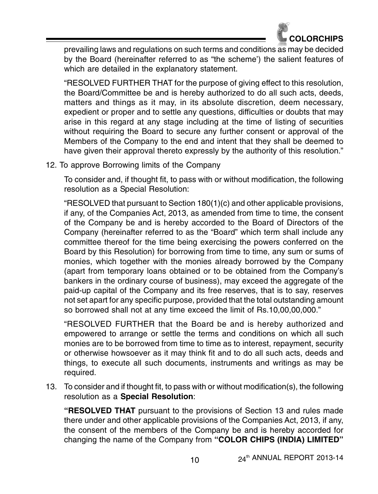

prevailing laws and regulations on such terms and conditions as may be decided by the Board (hereinafter referred to as "the scheme') the salient features of which are detailed in the explanatory statement.

"RESOLVED FURTHER THAT for the purpose of giving effect to this resolution, the Board/Committee be and is hereby authorized to do all such acts, deeds, matters and things as it may, in its absolute discretion, deem necessary, expedient or proper and to settle any questions, difficulties or doubts that may arise in this regard at any stage including at the time of listing of securities without requiring the Board to secure any further consent or approval of the Members of the Company to the end and intent that they shall be deemed to have given their approval thereto expressly by the authority of this resolution."

12. To approve Borrowing limits of the Company

To consider and, if thought fit, to pass with or without modification, the following resolution as a Special Resolution:

"RESOLVED that pursuant to Section 180(1)(c) and other applicable provisions, if any, of the Companies Act, 2013, as amended from time to time, the consent of the Company be and is hereby accorded to the Board of Directors of the Company (hereinafter referred to as the "Board" which term shall include any committee thereof for the time being exercising the powers conferred on the Board by this Resolution) for borrowing from time to time, any sum or sums of monies, which together with the monies already borrowed by the Company (apart from temporary loans obtained or to be obtained from the Company's bankers in the ordinary course of business), may exceed the aggregate of the paid-up capital of the Company and its free reserves, that is to say, reserves not set apart for any specific purpose, provided that the total outstanding amount so borrowed shall not at any time exceed the limit of Rs.10,00,00,000."

"RESOLVED FURTHER that the Board be and is hereby authorized and empowered to arrange or settle the terms and conditions on which all such monies are to be borrowed from time to time as to interest, repayment, security or otherwise howsoever as it may think fit and to do all such acts, deeds and things, to execute all such documents, instruments and writings as may be required.

13. To consider and if thought fit, to pass with or without modification(s), the following resolution as a **Special Resolution**:

**"RESOLVED THAT** pursuant to the provisions of Section 13 and rules made there under and other applicable provisions of the Companies Act, 2013, if any, the consent of the members of the Company be and is hereby accorded for changing the name of the Company from **"COLOR CHIPS (INDIA) LIMITED"**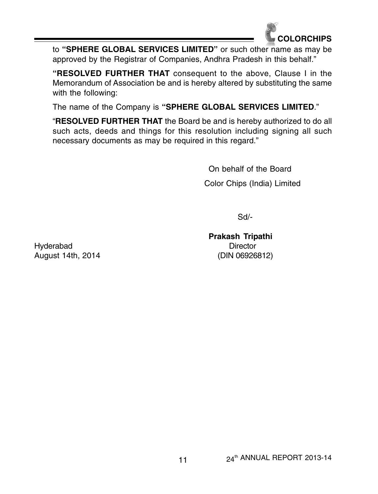

to **"SPHERE GLOBAL SERVICES LIMITED"** or such other name as may be approved by the Registrar of Companies, Andhra Pradesh in this behalf."

**"RESOLVED FURTHER THAT** consequent to the above, Clause I in the Memorandum of Association be and is hereby altered by substituting the same with the following:

The name of the Company is **"SPHERE GLOBAL SERVICES LIMITED**."

"**RESOLVED FURTHER THAT** the Board be and is hereby authorized to do all such acts, deeds and things for this resolution including signing all such necessary documents as may be required in this regard."

> On behalf of the Board Color Chips (India) Limited

> > Sd/-

**Prakash Tripathi**

Hyderabad Director August 14th, 2014 (DIN 06926812)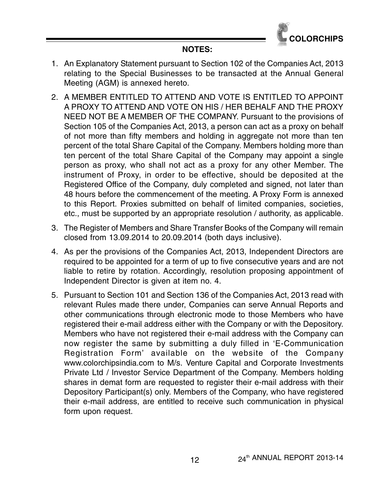

#### **NOTES:**

- 1. An Explanatory Statement pursuant to Section 102 of the Companies Act, 2013 relating to the Special Businesses to be transacted at the Annual General Meeting (AGM) is annexed hereto.
- 2. A MEMBER ENTITLED TO ATTEND AND VOTE IS ENTITLED TO APPOINT A PROXY TO ATTEND AND VOTE ON HIS / HER BEHALF AND THE PROXY NEED NOT BE A MEMBER OF THE COMPANY. Pursuant to the provisions of Section 105 of the Companies Act, 2013, a person can act as a proxy on behalf of not more than fifty members and holding in aggregate not more than ten percent of the total Share Capital of the Company. Members holding more than ten percent of the total Share Capital of the Company may appoint a single person as proxy, who shall not act as a proxy for any other Member. The instrument of Proxy, in order to be effective, should be deposited at the Registered Office of the Company, duly completed and signed, not later than 48 hours before the commencement of the meeting. A Proxy Form is annexed to this Report. Proxies submitted on behalf of limited companies, societies, etc., must be supported by an appropriate resolution / authority, as applicable.
- 3. The Register of Members and Share Transfer Books of the Company will remain closed from 13.09.2014 to 20.09.2014 (both days inclusive).
- 4. As per the provisions of the Companies Act, 2013, Independent Directors are required to be appointed for a term of up to five consecutive years and are not liable to retire by rotation. Accordingly, resolution proposing appointment of Independent Director is given at item no. 4.
- 5. Pursuant to Section 101 and Section 136 of the Companies Act, 2013 read with relevant Rules made there under, Companies can serve Annual Reports and other communications through electronic mode to those Members who have registered their e-mail address either with the Company or with the Depository. Members who have not registered their e-mail address with the Company can now register the same by submitting a duly filled in 'E-Communication Registration Form' available on the website of the Company www.colorchipsindia.com to M/s. Venture Capital and Corporate Investments Private Ltd / Investor Service Department of the Company. Members holding shares in demat form are requested to register their e-mail address with their Depository Participant(s) only. Members of the Company, who have registered their e-mail address, are entitled to receive such communication in physical form upon request.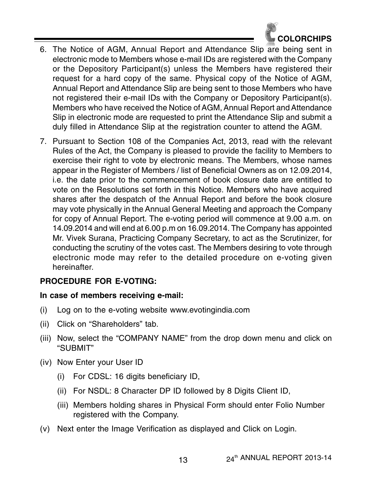

- 6. The Notice of AGM, Annual Report and Attendance Slip are being sent in electronic mode to Members whose e-mail IDs are registered with the Company or the Depository Participant(s) unless the Members have registered their request for a hard copy of the same. Physical copy of the Notice of AGM, Annual Report and Attendance Slip are being sent to those Members who have not registered their e-mail IDs with the Company or Depository Participant(s). Members who have received the Notice of AGM, Annual Report and Attendance Slip in electronic mode are requested to print the Attendance Slip and submit a duly filled in Attendance Slip at the registration counter to attend the AGM.
- 7. Pursuant to Section 108 of the Companies Act, 2013, read with the relevant Rules of the Act, the Company is pleased to provide the facility to Members to exercise their right to vote by electronic means. The Members, whose names appear in the Register of Members / list of Beneficial Owners as on 12.09.2014, i.e. the date prior to the commencement of book closure date are entitled to vote on the Resolutions set forth in this Notice. Members who have acquired shares after the despatch of the Annual Report and before the book closure may vote physically in the Annual General Meeting and approach the Company for copy of Annual Report. The e-voting period will commence at 9.00 a.m. on 14.09.2014 and will end at 6.00 p.m on 16.09.2014. The Company has appointed Mr. Vivek Surana, Practicing Company Secretary, to act as the Scrutinizer, for conducting the scrutiny of the votes cast. The Members desiring to vote through electronic mode may refer to the detailed procedure on e-voting given hereinafter.

# **PROCEDURE FOR E-VOTING:**

#### **In case of members receiving e-mail:**

- (i) Log on to the e-voting website www.evotingindia.com
- (ii) Click on "Shareholders" tab.
- (iii) Now, select the "COMPANY NAME" from the drop down menu and click on "SUBMIT"
- (iv) Now Enter your User ID
	- (i) For CDSL: 16 digits beneficiary ID,
	- (ii) For NSDL: 8 Character DP ID followed by 8 Digits Client ID,
	- (iii) Members holding shares in Physical Form should enter Folio Number registered with the Company.
- (v) Next enter the Image Verification as displayed and Click on Login.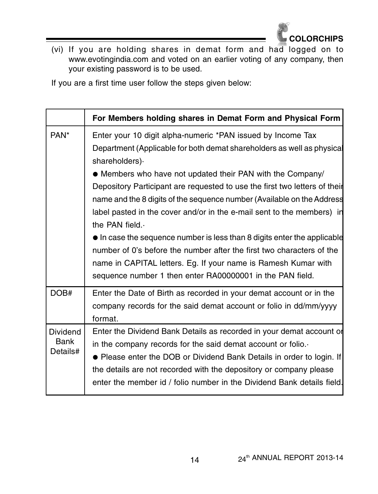

(vi) If you are holding shares in demat form and had logged on to www.evotingindia.com and voted on an earlier voting of any company, then your existing password is to be used.

If you are a first time user follow the steps given below:

|                                     | For Members holding shares in Demat Form and Physical Form                                                                                                                                                                                                                                                                                                                                                                                                                                                                                                                                         |
|-------------------------------------|----------------------------------------------------------------------------------------------------------------------------------------------------------------------------------------------------------------------------------------------------------------------------------------------------------------------------------------------------------------------------------------------------------------------------------------------------------------------------------------------------------------------------------------------------------------------------------------------------|
| PAN <sup>*</sup>                    | Enter your 10 digit alpha-numeric *PAN issued by Income Tax<br>Department (Applicable for both demat shareholders as well as physical<br>shareholders).                                                                                                                                                                                                                                                                                                                                                                                                                                            |
|                                     | • Members who have not updated their PAN with the Company/<br>Depository Participant are requested to use the first two letters of their<br>name and the 8 digits of the sequence number (Available on the Address<br>label pasted in the cover and/or in the e-mail sent to the members) in<br>the PAN field.<br>• In case the sequence number is less than 8 digits enter the applicable<br>number of 0's before the number after the first two characters of the<br>name in CAPITAL letters. Eg. If your name is Ramesh Kumar with<br>sequence number 1 then enter RA00000001 in the PAN field. |
| DOB#                                | Enter the Date of Birth as recorded in your demat account or in the<br>company records for the said demat account or folio in dd/mm/yyyy<br>format.                                                                                                                                                                                                                                                                                                                                                                                                                                                |
| <b>Dividend</b><br>Bank<br>Details# | Enter the Dividend Bank Details as recorded in your demat account of<br>in the company records for the said demat account or folio.<br>• Please enter the DOB or Dividend Bank Details in order to login. If<br>the details are not recorded with the depository or company please<br>enter the member id / folio number in the Dividend Bank details field.                                                                                                                                                                                                                                       |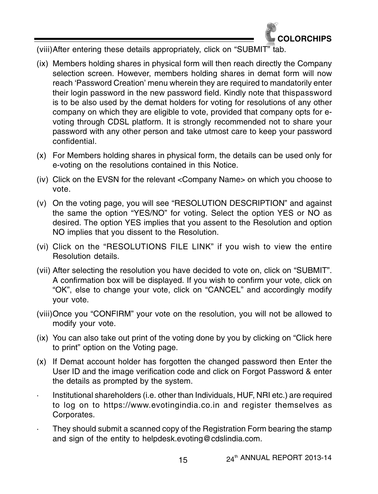

(viii)After entering these details appropriately, click on "SUBMIT" tab.

- (ix) Members holding shares in physical form will then reach directly the Company selection screen. However, members holding shares in demat form will now reach 'Password Creation' menu wherein they are required to mandatorily enter their login password in the new password field. Kindly note that thispassword is to be also used by the demat holders for voting for resolutions of any other company on which they are eligible to vote, provided that company opts for evoting through CDSL platform. It is strongly recommended not to share your password with any other person and take utmost care to keep your password confidential.
- (x) For Members holding shares in physical form, the details can be used only for e-voting on the resolutions contained in this Notice.
- (iv) Click on the EVSN for the relevant <Company Name> on which you choose to vote.
- (v) On the voting page, you will see "RESOLUTION DESCRIPTION" and against the same the option "YES/NO" for voting. Select the option YES or NO as desired. The option YES implies that you assent to the Resolution and option NO implies that you dissent to the Resolution.
- (vi) Click on the "RESOLUTIONS FILE LINK" if you wish to view the entire Resolution details.
- (vii) After selecting the resolution you have decided to vote on, click on "SUBMIT". A confirmation box will be displayed. If you wish to confirm your vote, click on "OK", else to change your vote, click on "CANCEL" and accordingly modify your vote.
- (viii)Once you "CONFIRM" your vote on the resolution, you will not be allowed to modify your vote.
- (ix) You can also take out print of the voting done by you by clicking on "Click here to print" option on the Voting page.
- (x) If Demat account holder has forgotten the changed password then Enter the User ID and the image verification code and click on Forgot Password & enter the details as prompted by the system.
- Institutional shareholders (i.e. other than Individuals, HUF, NRI etc.) are required to log on to https://www.evotingindia.co.in and register themselves as Corporates.
- They should submit a scanned copy of the Registration Form bearing the stamp and sign of the entity to helpdesk.evoting@cdslindia.com.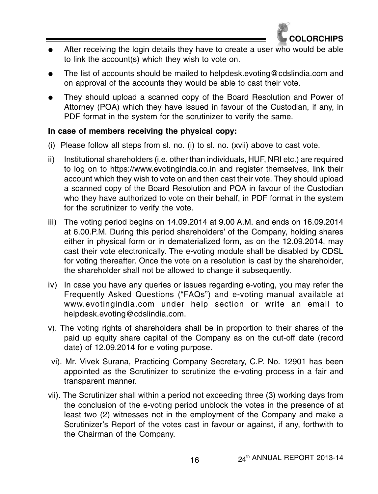

- $\bullet$  After receiving the login details they have to create a user who would be able to link the account(s) which they wish to vote on.
- $\bullet$  The list of accounts should be mailed to helpdesk.evoting@cdslindia.com and on approval of the accounts they would be able to cast their vote.
- $\bullet$  They should upload a scanned copy of the Board Resolution and Power of Attorney (POA) which they have issued in favour of the Custodian, if any, in PDF format in the system for the scrutinizer to verify the same.

#### **In case of members receiving the physical copy:**

- (i) Please follow all steps from sl. no. (i) to sl. no. (xvii) above to cast vote.
- ii) Institutional shareholders (i.e. other than individuals, HUF, NRI etc.) are required to log on to https://www.evotingindia.co.in and register themselves, link their account which they wish to vote on and then cast their vote. They should upload a scanned copy of the Board Resolution and POA in favour of the Custodian who they have authorized to vote on their behalf, in PDF format in the system for the scrutinizer to verify the vote.
- iii) The voting period begins on 14.09.2014 at 9.00 A.M. and ends on 16.09.2014 at 6.00.P.M. During this period shareholders' of the Company, holding shares either in physical form or in dematerialized form, as on the 12.09.2014, may cast their vote electronically. The e-voting module shall be disabled by CDSL for voting thereafter. Once the vote on a resolution is cast by the shareholder, the shareholder shall not be allowed to change it subsequently.
- iv) In case you have any queries or issues regarding e-voting, you may refer the Frequently Asked Questions ("FAQs") and e-voting manual available at www.evotingindia.com under help section or write an email to helpdesk.evoting@cdslindia.com.
- v). The voting rights of shareholders shall be in proportion to their shares of the paid up equity share capital of the Company as on the cut-off date (record date) of 12.09.2014 for e voting purpose.
- vi). Mr. Vivek Surana, Practicing Company Secretary, C.P. No. 12901 has been appointed as the Scrutinizer to scrutinize the e-voting process in a fair and transparent manner.
- vii). The Scrutinizer shall within a period not exceeding three (3) working days from the conclusion of the e-voting period unblock the votes in the presence of at least two (2) witnesses not in the employment of the Company and make a Scrutinizer's Report of the votes cast in favour or against, if any, forthwith to the Chairman of the Company.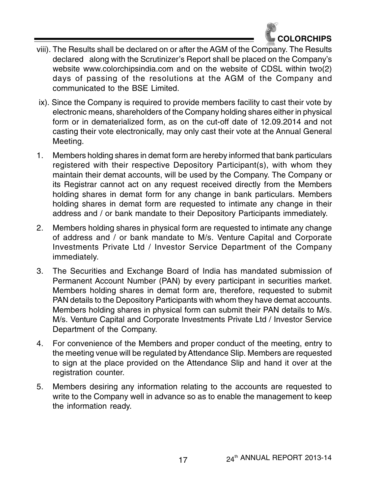

- viii). The Results shall be declared on or after the AGM of the Company. The Results declared along with the Scrutinizer's Report shall be placed on the Company's website www.colorchipsindia.com and on the website of CDSL within two(2) days of passing of the resolutions at the AGM of the Company and communicated to the BSE Limited.
- ix). Since the Company is required to provide members facility to cast their vote by electronic means, shareholders of the Company holding shares either in physical form or in dematerialized form, as on the cut-off date of 12.09.2014 and not casting their vote electronically, may only cast their vote at the Annual General Meeting.
- 1. Members holding shares in demat form are hereby informed that bank particulars registered with their respective Depository Participant(s), with whom they maintain their demat accounts, will be used by the Company. The Company or its Registrar cannot act on any request received directly from the Members holding shares in demat form for any change in bank particulars. Members holding shares in demat form are requested to intimate any change in their address and / or bank mandate to their Depository Participants immediately.
- 2. Members holding shares in physical form are requested to intimate any change of address and / or bank mandate to M/s. Venture Capital and Corporate Investments Private Ltd / Investor Service Department of the Company immediately.
- 3. The Securities and Exchange Board of India has mandated submission of Permanent Account Number (PAN) by every participant in securities market. Members holding shares in demat form are, therefore, requested to submit PAN details to the Depository Participants with whom they have demat accounts. Members holding shares in physical form can submit their PAN details to M/s. M/s. Venture Capital and Corporate Investments Private Ltd / Investor Service Department of the Company.
- 4. For convenience of the Members and proper conduct of the meeting, entry to the meeting venue will be regulated by Attendance Slip. Members are requested to sign at the place provided on the Attendance Slip and hand it over at the registration counter.
- 5. Members desiring any information relating to the accounts are requested to write to the Company well in advance so as to enable the management to keep the information ready.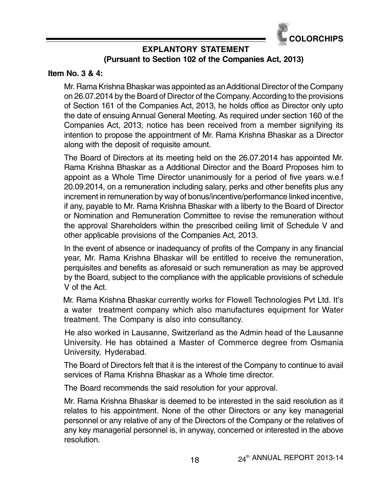

# **EXPLANTORY STATEMENT (Pursuant to Section 102 of the Companies Act, 2013)**

#### **Item No. 3 & 4:**

Mr. Rama Krishna Bhaskar was appointed as an Additional Director of the Company on 26.07.2014 by the Board of Director of the Company. According to the provisions of Section 161 of the Companies Act, 2013, he holds office as Director only upto the date of ensuing Annual General Meeting. As required under section 160 of the Companies Act, 2013, notice has been received from a member signifying its intention to propose the appointment of Mr. Rama Krishna Bhaskar as a Director along with the deposit of requisite amount.

The Board of Directors at its meeting held on the 26.07.2014 has appointed Mr. Rama Krishna Bhaskar as a Additional Director and the Board Proposes him to appoint as a Whole Time Director unanimously for a period of five years w.e.f 20.09.2014, on a remuneration including salary, perks and other benefits plus any increment in remuneration by way of bonus/incentive/performance linked incentive, if any, payable to Mr. Rama Krishna Bhaskar with a liberty to the Board of Director or Nomination and Remuneration Committee to revise the remuneration without the approval Shareholders within the prescribed ceiling limit of Schedule V and other applicable provisions of the Companies Act, 2013.

In the event of absence or inadequancy of profits of the Company in any financial year, Mr. Rama Krishna Bhaskar will be entitled to receive the remuneration, perquisites and benefits as aforesaid or such remuneration as may be approved by the Board, subject to the compliance with the applicable provisions of schedule V of the Act.

 Mr. Rama Krishna Bhaskar currently works for Flowell Technologies Pvt Ltd. It's a water treatment company which also manufactures equipment for Water treatment. The Company is also into consultancy.

 He also worked in Lausanne, Switzerland as the Admin head of the Lausanne University. He has obtained a Master of Commerce degree from Osmania University, Hyderabad.

The Board of Directors felt that it is the interest of the Company to continue to avail services of Rama Krishna Bhaskar as a Whole time director.

The Board recommends the said resolution for your approval.

Mr. Rama Krishna Bhaskar is deemed to be interested in the said resolution as it relates to his appointment. None of the other Directors or any key managerial personnel or any relative of any of the Directors of the Company or the relatives of any key managerial personnel is, in anyway, concerned or interested in the above resolution.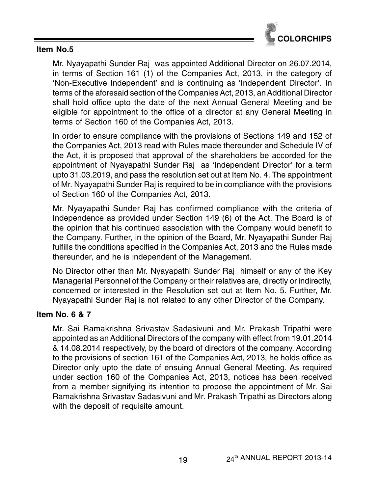

#### **Item No.5**

Mr. Nyayapathi Sunder Raj was appointed Additional Director on 26.07.2014, in terms of Section 161 (1) of the Companies Act, 2013, in the category of 'Non-Executive Independent' and is continuing as 'Independent Director'. In terms of the aforesaid section of the Companies Act, 2013, an Additional Director shall hold office upto the date of the next Annual General Meeting and be eligible for appointment to the office of a director at any General Meeting in terms of Section 160 of the Companies Act, 2013.

In order to ensure compliance with the provisions of Sections 149 and 152 of the Companies Act, 2013 read with Rules made thereunder and Schedule IV of the Act, it is proposed that approval of the shareholders be accorded for the appointment of Nyayapathi Sunder Raj as 'Independent Director' for a term upto 31.03.2019, and pass the resolution set out at Item No. 4. The appointment of Mr. Nyayapathi Sunder Raj is required to be in compliance with the provisions of Section 160 of the Companies Act, 2013.

Mr. Nyayapathi Sunder Raj has confirmed compliance with the criteria of Independence as provided under Section 149 (6) of the Act. The Board is of the opinion that his continued association with the Company would benefit to the Company. Further, in the opinion of the Board, Mr. Nyayapathi Sunder Raj fulfills the conditions specified in the Companies Act, 2013 and the Rules made thereunder, and he is independent of the Management.

No Director other than Mr. Nyayapathi Sunder Raj himself or any of the Key Managerial Personnel of the Company or their relatives are, directly or indirectly, concerned or interested in the Resolution set out at Item No. 5. Further, Mr. Nyayapathi Sunder Raj is not related to any other Director of the Company.

# **Item No. 6 & 7**

Mr. Sai Ramakrishna Srivastav Sadasivuni and Mr. Prakash Tripathi were appointed as an Additional Directors of the company with effect from 19.01.2014 & 14.08.2014 respectively, by the board of directors of the company. According to the provisions of section 161 of the Companies Act, 2013, he holds office as Director only upto the date of ensuing Annual General Meeting. As required under section 160 of the Companies Act, 2013, notices has been received from a member signifying its intention to propose the appointment of Mr. Sai Ramakrishna Srivastav Sadasivuni and Mr. Prakash Tripathi as Directors along with the deposit of requisite amount.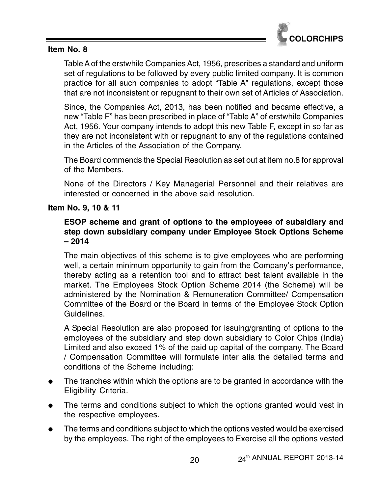

#### **Item No. 8**

Table A of the erstwhile Companies Act, 1956, prescribes a standard and uniform set of regulations to be followed by every public limited company. It is common practice for all such companies to adopt "Table A" regulations, except those that are not inconsistent or repugnant to their own set of Articles of Association.

Since, the Companies Act, 2013, has been notified and became effective, a new "Table F" has been prescribed in place of "Table A" of erstwhile Companies Act, 1956. Your company intends to adopt this new Table F, except in so far as they are not inconsistent with or repugnant to any of the regulations contained in the Articles of the Association of the Company.

The Board commends the Special Resolution as set out at item no.8 for approval of the Members.

None of the Directors / Key Managerial Personnel and their relatives are interested or concerned in the above said resolution.

#### **Item No. 9, 10 & 11**

# **ESOP scheme and grant of options to the employees of subsidiary and step down subsidiary company under Employee Stock Options Scheme – 2014**

The main objectives of this scheme is to give employees who are performing well, a certain minimum opportunity to gain from the Company's performance, thereby acting as a retention tool and to attract best talent available in the market. The Employees Stock Option Scheme 2014 (the Scheme) will be administered by the Nomination & Remuneration Committee/ Compensation Committee of the Board or the Board in terms of the Employee Stock Option Guidelines.

A Special Resolution are also proposed for issuing/granting of options to the employees of the subsidiary and step down subsidiary to Color Chips (India) Limited and also exceed 1% of the paid up capital of the company. The Board / Compensation Committee will formulate inter alia the detailed terms and conditions of the Scheme including:

- $\bullet$  The tranches within which the options are to be granted in accordance with the Eligibility Criteria.
- $\bullet$  The terms and conditions subject to which the options granted would vest in the respective employees.
- $\bullet$  The terms and conditions subject to which the options vested would be exercised by the employees. The right of the employees to Exercise all the options vested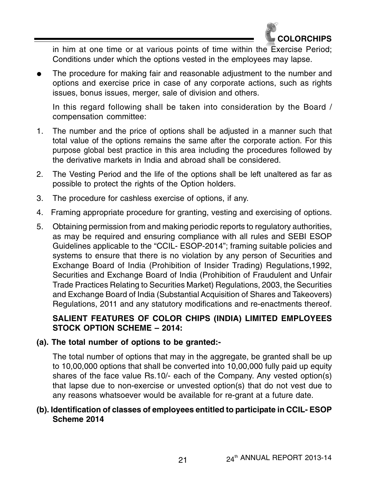

in him at one time or at various points of time within the Exercise Period; Conditions under which the options vested in the employees may lapse.

 $\bullet$  The procedure for making fair and reasonable adjustment to the number and options and exercise price in case of any corporate actions, such as rights issues, bonus issues, merger, sale of division and others.

In this regard following shall be taken into consideration by the Board / compensation committee:

- 1. The number and the price of options shall be adjusted in a manner such that total value of the options remains the same after the corporate action. For this purpose global best practice in this area including the procedures followed by the derivative markets in India and abroad shall be considered.
- 2. The Vesting Period and the life of the options shall be left unaltered as far as possible to protect the rights of the Option holders.
- 3. The procedure for cashless exercise of options, if any.
- 4. Framing appropriate procedure for granting, vesting and exercising of options.
- 5. Obtaining permission from and making periodic reports to regulatory authorities, as may be required and ensuring compliance with all rules and SEBI ESOP Guidelines applicable to the "CCIL- ESOP-2014"; framing suitable policies and systems to ensure that there is no violation by any person of Securities and Exchange Board of India (Prohibition of Insider Trading) Regulations,1992, Securities and Exchange Board of India (Prohibition of Fraudulent and Unfair Trade Practices Relating to Securities Market) Regulations, 2003, the Securities and Exchange Board of India (Substantial Acquisition of Shares and Takeovers) Regulations, 2011 and any statutory modifications and re-enactments thereof.

# **SALIENT FEATURES OF COLOR CHIPS (INDIA) LIMITED EMPLOYEES STOCK OPTION SCHEME – 2014:**

# **(a). The total number of options to be granted:-**

The total number of options that may in the aggregate, be granted shall be up to 10,00,000 options that shall be converted into 10,00,000 fully paid up equity shares of the face value Rs.10/- each of the Company. Any vested option(s) that lapse due to non-exercise or unvested option(s) that do not vest due to any reasons whatsoever would be available for re-grant at a future date.

# **(b). Identification of classes of employees entitled to participate in CCIL- ESOP Scheme 2014**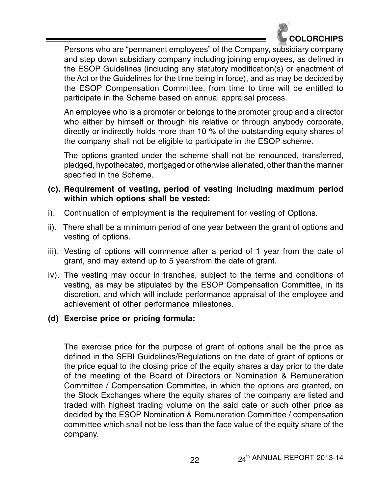

Persons who are "permanent employees" of the Company, subsidiary company and step down subsidiary company including joining employees, as defined in the ESOP Guidelines (including any statutory modification(s) or enactment of the Act or the Guidelines for the time being in force), and as may be decided by the ESOP Compensation Committee, from time to time will be entitled to participate in the Scheme based on annual appraisal process.

An employee who is a promoter or belongs to the promoter group and a director who either by himself or through his relative or through anybody corporate, directly or indirectly holds more than 10 % of the outstanding equity shares of the company shall not be eligible to participate in the ESOP scheme.

The options granted under the scheme shall not be renounced, transferred, pledged, hypothecated, mortgaged or otherwise alienated, other than the manner specified in the Scheme.

- **(c). Requirement of vesting, period of vesting including maximum period within which options shall be vested:**
- i). Continuation of employment is the requirement for vesting of Options.
- ii). There shall be a minimum period of one year between the grant of options and vesting of options.
- iii). Vesting of options will commence after a period of 1 year from the date of grant, and may extend up to 5 yearsfrom the date of grant.
- iv). The vesting may occur in tranches, subject to the terms and conditions of vesting, as may be stipulated by the ESOP Compensation Committee, in its discretion, and which will include performance appraisal of the employee and achievement of other performance milestones.

# **(d) Exercise price or pricing formula:**

The exercise price for the purpose of grant of options shall be the price as defined in the SEBI Guidelines/Regulations on the date of grant of options or the price equal to the closing price of the equity shares a day prior to the date of the meeting of the Board of Directors or Nomination & Remuneration Committee / Compensation Committee, in which the options are granted, on the Stock Exchanges where the equity shares of the company are listed and traded with highest trading volume on the said date or such other price as decided by the ESOP Nomination & Remuneration Committee / compensation committee which shall not be less than the face value of the equity share of the company.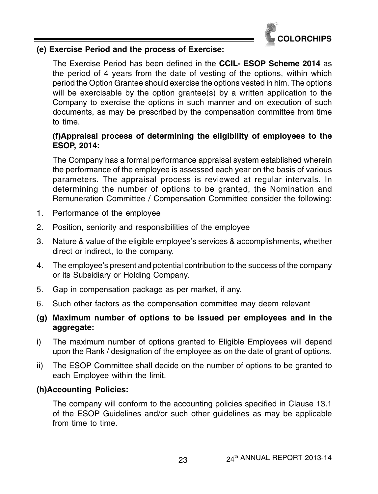

#### **(e) Exercise Period and the process of Exercise:**

The Exercise Period has been defined in the **CCIL- ESOP Scheme 2014** as the period of 4 years from the date of vesting of the options, within which period the Option Grantee should exercise the options vested in him. The options will be exercisable by the option grantee(s) by a written application to the Company to exercise the options in such manner and on execution of such documents, as may be prescribed by the compensation committee from time to time.

# **(f)Appraisal process of determining the eligibility of employees to the ESOP, 2014:**

The Company has a formal performance appraisal system established wherein the performance of the employee is assessed each year on the basis of various parameters. The appraisal process is reviewed at regular intervals. In determining the number of options to be granted, the Nomination and Remuneration Committee / Compensation Committee consider the following:

- 1. Performance of the employee
- 2. Position, seniority and responsibilities of the employee
- 3. Nature & value of the eligible employee's services & accomplishments, whether direct or indirect, to the company.
- 4. The employee's present and potential contribution to the success of the company or its Subsidiary or Holding Company.
- 5. Gap in compensation package as per market, if any.
- 6. Such other factors as the compensation committee may deem relevant
- **(g) Maximum number of options to be issued per employees and in the aggregate:**
- i) The maximum number of options granted to Eligible Employees will depend upon the Rank / designation of the employee as on the date of grant of options.
- ii) The ESOP Committee shall decide on the number of options to be granted to each Employee within the limit.

# **(h)Accounting Policies:**

The company will conform to the accounting policies specified in Clause 13.1 of the ESOP Guidelines and/or such other guidelines as may be applicable from time to time.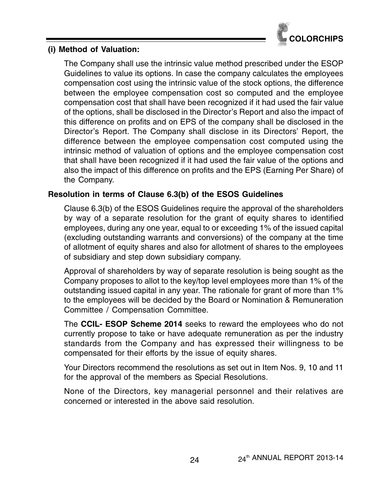

#### **(i) Method of Valuation:**

The Company shall use the intrinsic value method prescribed under the ESOP Guidelines to value its options. In case the company calculates the employees compensation cost using the intrinsic value of the stock options, the difference between the employee compensation cost so computed and the employee compensation cost that shall have been recognized if it had used the fair value of the options, shall be disclosed in the Director's Report and also the impact of this difference on profits and on EPS of the company shall be disclosed in the Director's Report. The Company shall disclose in its Directors' Report, the difference between the employee compensation cost computed using the intrinsic method of valuation of options and the employee compensation cost that shall have been recognized if it had used the fair value of the options and also the impact of this difference on profits and the EPS (Earning Per Share) of the Company.

# **Resolution in terms of Clause 6.3(b) of the ESOS Guidelines**

Clause 6.3(b) of the ESOS Guidelines require the approval of the shareholders by way of a separate resolution for the grant of equity shares to identified employees, during any one year, equal to or exceeding 1% of the issued capital (excluding outstanding warrants and conversions) of the company at the time of allotment of equity shares and also for allotment of shares to the employees of subsidiary and step down subsidiary company.

Approval of shareholders by way of separate resolution is being sought as the Company proposes to allot to the key/top level employees more than 1% of the outstanding issued capital in any year. The rationale for grant of more than 1% to the employees will be decided by the Board or Nomination & Remuneration Committee / Compensation Committee.

The **CCIL- ESOP Scheme 2014** seeks to reward the employees who do not currently propose to take or have adequate remuneration as per the industry standards from the Company and has expressed their willingness to be compensated for their efforts by the issue of equity shares.

Your Directors recommend the resolutions as set out in Item Nos. 9, 10 and 11 for the approval of the members as Special Resolutions.

None of the Directors, key managerial personnel and their relatives are concerned or interested in the above said resolution.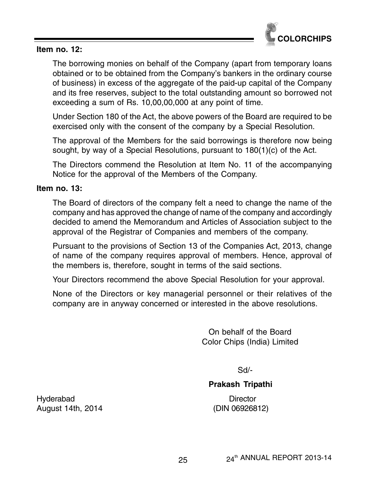

#### **Item no. 12:**

The borrowing monies on behalf of the Company (apart from temporary loans obtained or to be obtained from the Company's bankers in the ordinary course of business) in excess of the aggregate of the paid-up capital of the Company and its free reserves, subject to the total outstanding amount so borrowed not exceeding a sum of Rs. 10,00,00,000 at any point of time.

Under Section 180 of the Act, the above powers of the Board are required to be exercised only with the consent of the company by a Special Resolution.

The approval of the Members for the said borrowings is therefore now being sought, by way of a Special Resolutions, pursuant to 180(1)(c) of the Act.

The Directors commend the Resolution at Item No. 11 of the accompanying Notice for the approval of the Members of the Company.

#### **Item no. 13:**

The Board of directors of the company felt a need to change the name of the company and has approved the change of name of the company and accordingly decided to amend the Memorandum and Articles of Association subject to the approval of the Registrar of Companies and members of the company.

Pursuant to the provisions of Section 13 of the Companies Act, 2013, change of name of the company requires approval of members. Hence, approval of the members is, therefore, sought in terms of the said sections.

Your Directors recommend the above Special Resolution for your approval.

None of the Directors or key managerial personnel or their relatives of the company are in anyway concerned or interested in the above resolutions.

> On behalf of the Board Color Chips (India) Limited

> > Sd/-

#### **Prakash Tripathi**

Hyderabad Director August 14th, 2014 (DIN 06926812)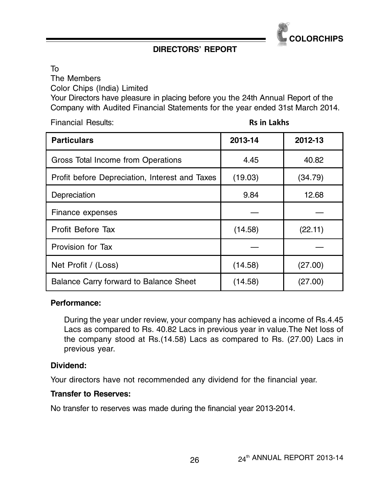

# **DIRECTORS' REPORT**

To

The Members

Color Chips (India) Limited

Your Directors have pleasure in placing before you the 24th Annual Report of the Company with Audited Financial Statements for the year ended 31st March 2014.

Financial Results: Rs in Lakhs

| <b>Particulars</b>                             | 2013-14 | 2012-13 |  |
|------------------------------------------------|---------|---------|--|
| Gross Total Income from Operations             | 4.45    | 40.82   |  |
| Profit before Depreciation, Interest and Taxes | (19.03) | (34.79) |  |
| Depreciation                                   | 9.84    | 12.68   |  |
| Finance expenses                               |         |         |  |
| Profit Before Tax                              | (14.58) | (22.11) |  |
| Provision for Tax                              |         |         |  |
| Net Profit / (Loss)                            | (14.58) | (27.00) |  |
| Balance Carry forward to Balance Sheet         | (14.58) | (27.00) |  |

#### **Performance:**

During the year under review, your company has achieved a income of Rs.4.45 Lacs as compared to Rs. 40.82 Lacs in previous year in value.The Net loss of the company stood at Rs.(14.58) Lacs as compared to Rs. (27.00) Lacs in previous year.

#### **Dividend:**

Your directors have not recommended any dividend for the financial year.

#### **Transfer to Reserves:**

No transfer to reserves was made during the financial year 2013-2014.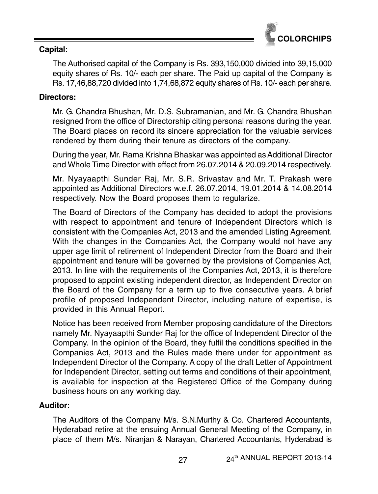

# **Capital:**

The Authorised capital of the Company is Rs. 393,150,000 divided into 39,15,000 equity shares of Rs. 10/- each per share. The Paid up capital of the Company is Rs. 17,46,88,720 divided into 1,74,68,872 equity shares of Rs. 10/- each per share.

# **Directors:**

Mr. G. Chandra Bhushan, Mr. D.S. Subramanian, and Mr. G. Chandra Bhushan resigned from the office of Directorship citing personal reasons during the year. The Board places on record its sincere appreciation for the valuable services rendered by them during their tenure as directors of the company.

During the year, Mr. Rama Krishna Bhaskar was appointed as Additional Director and Whole Time Director with effect from 26.07.2014 & 20.09.2014 respectively.

Mr. Nyayaapthi Sunder Raj, Mr. S.R. Srivastav and Mr. T. Prakash were appointed as Additional Directors w.e.f. 26.07.2014, 19.01.2014 & 14.08.2014 respectively. Now the Board proposes them to regularize.

The Board of Directors of the Company has decided to adopt the provisions with respect to appointment and tenure of Independent Directors which is consistent with the Companies Act, 2013 and the amended Listing Agreement. With the changes in the Companies Act, the Company would not have any upper age limit of retirement of Independent Director from the Board and their appointment and tenure will be governed by the provisions of Companies Act, 2013. In line with the requirements of the Companies Act, 2013, it is therefore proposed to appoint existing independent director, as Independent Director on the Board of the Company for a term up to five consecutive years. A brief profile of proposed Independent Director, including nature of expertise, is provided in this Annual Report.

Notice has been received from Member proposing candidature of the Directors namely Mr. Nyayaapthi Sunder Raj for the office of Independent Director of the Company. In the opinion of the Board, they fulfil the conditions specified in the Companies Act, 2013 and the Rules made there under for appointment as Independent Director of the Company. A copy of the draft Letter of Appointment for Independent Director, setting out terms and conditions of their appointment, is available for inspection at the Registered Office of the Company during business hours on any working day.

# **Auditor:**

The Auditors of the Company M/s. S.N.Murthy & Co. Chartered Accountants, Hyderabad retire at the ensuing Annual General Meeting of the Company, in place of them M/s. Niranjan & Narayan, Chartered Accountants, Hyderabad is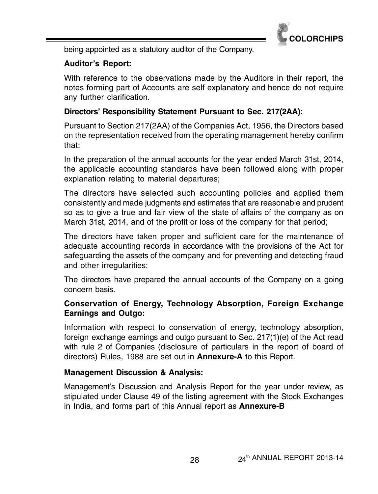

being appointed as a statutory auditor of the Company.

# **Auditor's Report:**

With reference to the observations made by the Auditors in their report, the notes forming part of Accounts are self explanatory and hence do not require any further clarification.

# **Directors' Responsibility Statement Pursuant to Sec. 217(2AA):**

Pursuant to Section 217(2AA) of the Companies Act, 1956, the Directors based on the representation received from the operating management hereby confirm that:

In the preparation of the annual accounts for the year ended March 31st, 2014, the applicable accounting standards have been followed along with proper explanation relating to material departures;

The directors have selected such accounting policies and applied them consistently and made judgments and estimates that are reasonable and prudent so as to give a true and fair view of the state of affairs of the company as on March 31st, 2014, and of the profit or loss of the company for that period;

The directors have taken proper and sufficient care for the maintenance of adequate accounting records in accordance with the provisions of the Act for safeguarding the assets of the company and for preventing and detecting fraud and other irregularities;

The directors have prepared the annual accounts of the Company on a going concern basis.

# **Conservation of Energy, Technology Absorption, Foreign Exchange Earnings and Outgo:**

Information with respect to conservation of energy, technology absorption, foreign exchange earnings and outgo pursuant to Sec. 217(1)(e) of the Act read with rule 2 of Companies (disclosure of particulars in the report of board of directors) Rules, 1988 are set out in **Annexure-A** to this Report.

# **Management Discussion & Analysis:**

Management's Discussion and Analysis Report for the year under review, as stipulated under Clause 49 of the listing agreement with the Stock Exchanges in India, and forms part of this Annual report as **Annexure-B**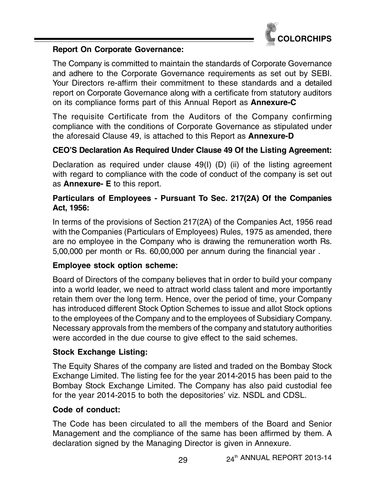

#### **Report On Corporate Governance:**

The Company is committed to maintain the standards of Corporate Governance and adhere to the Corporate Governance requirements as set out by SEBI. Your Directors re-affirm their commitment to these standards and a detailed report on Corporate Governance along with a certificate from statutory auditors on its compliance forms part of this Annual Report as **Annexure-C**

The requisite Certificate from the Auditors of the Company confirming compliance with the conditions of Corporate Governance as stipulated under the aforesaid Clause 49, is attached to this Report as **Annexure-D**

# **CEO'S Declaration As Required Under Clause 49 Of the Listing Agreement:**

Declaration as required under clause 49(I) (D) (ii) of the listing agreement with regard to compliance with the code of conduct of the company is set out as **Annexure- E** to this report.

# **Particulars of Employees - Pursuant To Sec. 217(2A) Of the Companies Act, 1956:**

In terms of the provisions of Section 217(2A) of the Companies Act, 1956 read with the Companies (Particulars of Employees) Rules, 1975 as amended, there are no employee in the Company who is drawing the remuneration worth Rs. 5,00,000 per month or Rs. 60,00,000 per annum during the financial year .

# **Employee stock option scheme:**

Board of Directors of the company believes that in order to build your company into a world leader, we need to attract world class talent and more importantly retain them over the long term. Hence, over the period of time, your Company has introduced different Stock Option Schemes to issue and allot Stock options to the employees of the Company and to the employees of Subsidiary Company. Necessary approvals from the members of the company and statutory authorities were accorded in the due course to give effect to the said schemes.

# **Stock Exchange Listing:**

The Equity Shares of the company are listed and traded on the Bombay Stock Exchange Limited. The listing fee for the year 2014-2015 has been paid to the Bombay Stock Exchange Limited. The Company has also paid custodial fee for the year 2014-2015 to both the depositories' viz. NSDL and CDSL.

# **Code of conduct:**

The Code has been circulated to all the members of the Board and Senior Management and the compliance of the same has been affirmed by them. A declaration signed by the Managing Director is given in Annexure.

29 24<sup>th</sup> ANNUAL REPORT 2013-14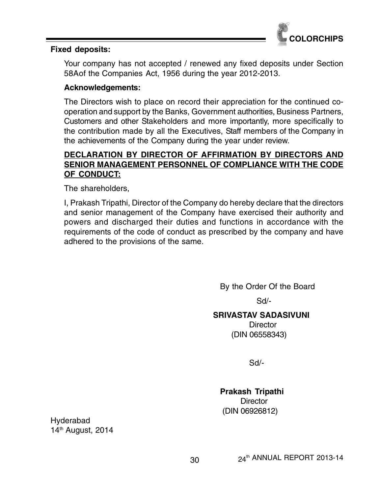

#### **Fixed deposits:**

Your company has not accepted / renewed any fixed deposits under Section 58Aof the Companies Act, 1956 during the year 2012-2013.

#### **Acknowledgements:**

The Directors wish to place on record their appreciation for the continued cooperation and support by the Banks, Government authorities, Business Partners, Customers and other Stakeholders and more importantly, more specifically to the contribution made by all the Executives, Staff members of the Company in the achievements of the Company during the year under review.

# **DECLARATION BY DIRECTOR OF AFFIRMATION BY DIRECTORS AND SENIOR MANAGEMENT PERSONNEL OF COMPLIANCE WITH THE CODE OF CONDUCT:**

The shareholders,

I, Prakash Tripathi, Director of the Company do hereby declare that the directors and senior management of the Company have exercised their authority and powers and discharged their duties and functions in accordance with the requirements of the code of conduct as prescribed by the company and have adhered to the provisions of the same.

By the Order Of the Board

Sd/-

#### **SRIVASTAV SADASIVUNI**

**Director** (DIN 06558343)

Sd/-

**Prakash Tripathi Director** (DIN 06926812)

Hyderabad 14<sup>th</sup> August, 2014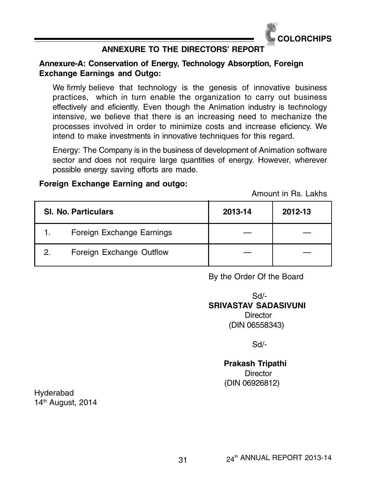

# **ANNEXURE TO THE DIRECTORS' REPORT**

#### **Annexure-A: Conservation of Energy, Technology Absorption, Foreign Exchange Earnings and Outgo:**

We firmly believe that technology is the genesis of innovative business practices, which in turn enable the organization to carry out business effectively and eficiently. Even though the Animation industry is technology intensive, we believe that there is an increasing need to mechanize the processes involved in order to minimize costs and increase eficiency. We intend to make investments in innovative techniques for this regard.

Energy: The Company is in the business of development of Animation software sector and does not require large quantities of energy. However, wherever possible energy saving efforts are made.

#### **Foreign Exchange Earning and outgo:**

Amount in Rs. Lakhs

|    | <b>SI. No. Particulars</b> | 2013-14 | 2012-13 |
|----|----------------------------|---------|---------|
| 1. | Foreign Exchange Earnings  |         |         |
| 2. | Foreign Exchange Outflow   |         |         |

By the Order Of the Board

 Sd/- **SRIVASTAV SADASIVUNI Director** (DIN 06558343)

Sd/-

 **Prakash Tripathi Director** (DIN 06926812)

Hyderabad 14th August, 2014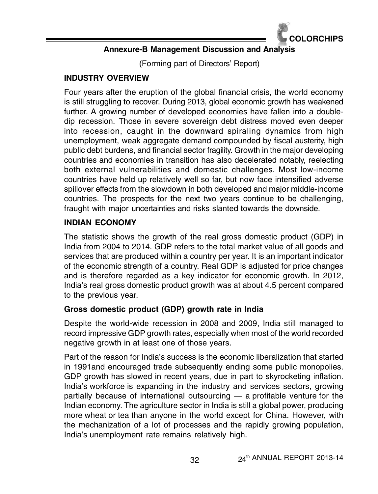

# **Annexure-B Management Discussion and Analysis**

(Forming part of Directors' Report)

# **INDUSTRY OVERVIEW**

Four years after the eruption of the global financial crisis, the world economy is still struggling to recover. During 2013, global economic growth has weakened further. A growing number of developed economies have fallen into a doubledip recession. Those in severe sovereign debt distress moved even deeper into recession, caught in the downward spiraling dynamics from high unemployment, weak aggregate demand compounded by fiscal austerity, high public debt burdens, and financial sector fragility. Growth in the major developing countries and economies in transition has also decelerated notably, reelecting both external vulnerabilities and domestic challenges. Most low-income countries have held up relatively well so far, but now face intensified adverse spillover effects from the slowdown in both developed and major middle-income countries. The prospects for the next two years continue to be challenging, fraught with major uncertainties and risks slanted towards the downside.

# **INDIAN ECONOMY**

The statistic shows the growth of the real gross domestic product (GDP) in India from 2004 to 2014. GDP refers to the total market value of all goods and services that are produced within a country per year. It is an important indicator of the economic strength of a country. Real GDP is adjusted for price changes and is therefore regarded as a key indicator for economic growth. In 2012, India's real gross domestic product growth was at about 4.5 percent compared to the previous year.

# **Gross domestic product (GDP) growth rate in India**

Despite the world-wide recession in 2008 and 2009, India still managed to record impressive GDP growth rates, especially when most of the world recorded negative growth in at least one of those years.

Part of the reason for India's success is the economic liberalization that started in 1991and encouraged trade subsequently ending some public monopolies. GDP growth has slowed in recent years, due in part to skyrocketing inflation. India's workforce is expanding in the industry and services sectors, growing partially because of international outsourcing — a profitable venture for the Indian economy. The agriculture sector in India is still a global power, producing more wheat or tea than anyone in the world except for China. However, with the mechanization of a lot of processes and the rapidly growing population, India's unemployment rate remains relatively high.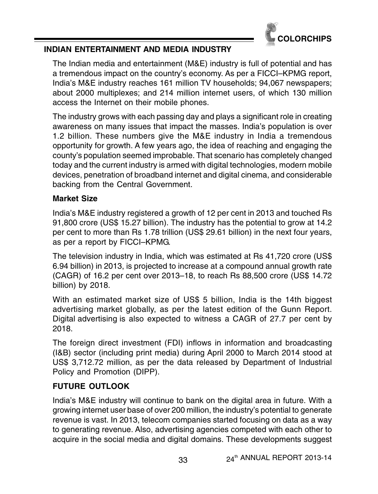

# **INDIAN ENTERTAINMENT AND MEDIA INDUSTRY**

The Indian media and entertainment (M&E) industry is full of potential and has a tremendous impact on the country's economy. As per a FICCI–KPMG report, India's M&E industry reaches 161 million TV households; 94,067 newspapers; about 2000 multiplexes; and 214 million internet users, of which 130 million access the Internet on their mobile phones.

The industry grows with each passing day and plays a significant role in creating awareness on many issues that impact the masses. India's population is over 1.2 billion. These numbers give the M&E industry in India a tremendous opportunity for growth. A few years ago, the idea of reaching and engaging the county's population seemed improbable. That scenario has completely changed today and the current industry is armed with digital technologies, modern mobile devices, penetration of broadband internet and digital cinema, and considerable backing from the Central Government.

# **Market Size**

India's M&E industry registered a growth of 12 per cent in 2013 and touched Rs 91,800 crore (US\$ 15.27 billion). The industry has the potential to grow at 14.2 per cent to more than Rs 1.78 trillion (US\$ 29.61 billion) in the next four years, as per a report by FICCI–KPMG.

The television industry in India, which was estimated at Rs 41,720 crore (US\$ 6.94 billion) in 2013, is projected to increase at a compound annual growth rate (CAGR) of 16.2 per cent over 2013–18, to reach Rs 88,500 crore (US\$ 14.72 billion) by 2018.

With an estimated market size of US\$ 5 billion, India is the 14th biggest advertising market globally, as per the latest edition of the Gunn Report. Digital advertising is also expected to witness a CAGR of 27.7 per cent by 2018.

The foreign direct investment (FDI) inflows in information and broadcasting (I&B) sector (including print media) during April 2000 to March 2014 stood at US\$ 3,712.72 million, as per the data released by Department of Industrial Policy and Promotion (DIPP).

# **FUTURE OUTLOOK**

India's M&E industry will continue to bank on the digital area in future. With a growing internet user base of over 200 million, the industry's potential to generate revenue is vast. In 2013, telecom companies started focusing on data as a way to generating revenue. Also, advertising agencies competed with each other to acquire in the social media and digital domains. These developments suggest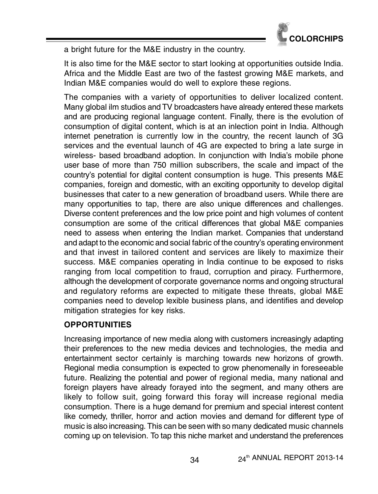

a bright future for the M&E industry in the country.

It is also time for the M&E sector to start looking at opportunities outside India. Africa and the Middle East are two of the fastest growing M&E markets, and Indian M&E companies would do well to explore these regions.

The companies with a variety of opportunities to deliver localized content. Many global ilm studios and TV broadcasters have already entered these markets and are producing regional language content. Finally, there is the evolution of consumption of digital content, which is at an inlection point in India. Although internet penetration is currently low in the country, the recent launch of 3G services and the eventual launch of 4G are expected to bring a late surge in wireless- based broadband adoption. In conjunction with India's mobile phone user base of more than 750 million subscribers, the scale and impact of the country's potential for digital content consumption is huge. This presents M&E companies, foreign and domestic, with an exciting opportunity to develop digital businesses that cater to a new generation of broadband users. While there are many opportunities to tap, there are also unique differences and challenges. Diverse content preferences and the low price point and high volumes of content consumption are some of the critical differences that global M&E companies need to assess when entering the Indian market. Companies that understand and adapt to the economic and social fabric of the country's operating environment and that invest in tailored content and services are likely to maximize their success. M&E companies operating in India continue to be exposed to risks ranging from local competition to fraud, corruption and piracy. Furthermore, although the development of corporate governance norms and ongoing structural and regulatory reforms are expected to mitigate these threats, global M&E companies need to develop lexible business plans, and identifies and develop mitigation strategies for key risks.

# **OPPORTUNITIES**

Increasing importance of new media along with customers increasingly adapting their preferences to the new media devices and technologies, the media and entertainment sector certainly is marching towards new horizons of growth. Regional media consumption is expected to grow phenomenally in foreseeable future. Realizing the potential and power of regional media, many national and foreign players have already forayed into the segment, and many others are likely to follow suit, going forward this foray will increase regional media consumption. There is a huge demand for premium and special interest content like comedy, thriller, horror and action movies and demand for different type of music is also increasing. This can be seen with so many dedicated music channels coming up on television. To tap this niche market and understand the preferences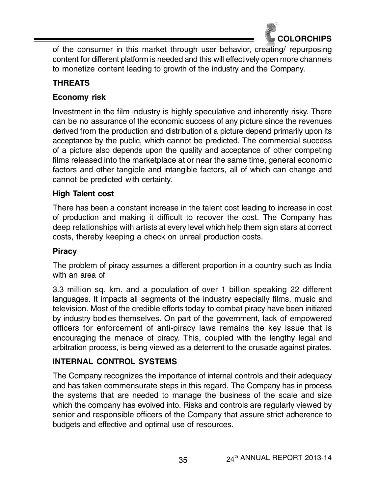

of the consumer in this market through user behavior, creating/ repurposing content for different platform is needed and this will effectively open more channels to monetize content leading to growth of the industry and the Company.

# **THREATS**

# **Economy risk**

Investment in the film industry is highly speculative and inherently risky. There can be no assurance of the economic success of any picture since the revenues derived from the production and distribution of a picture depend primarily upon its acceptance by the public, which cannot be predicted. The commercial success of a picture also depends upon the quality and acceptance of other competing films released into the marketplace at or near the same time, general economic factors and other tangible and intangible factors, all of which can change and cannot be predicted with certainty.

# **High Talent cost**

There has been a constant increase in the talent cost leading to increase in cost of production and making it difficult to recover the cost. The Company has deep relationships with artists at every level which help them sign stars at correct costs, thereby keeping a check on unreal production costs.

# **Piracy**

The problem of piracy assumes a different proportion in a country such as India with an area of

3.3 million sq. km. and a population of over 1 billion speaking 22 different languages. It impacts all segments of the industry especially films, music and television. Most of the credible efforts today to combat piracy have been initiated by industry bodies themselves. On part of the government, lack of empowered officers for enforcement of anti-piracy laws remains the key issue that is encouraging the menace of piracy. This, coupled with the lengthy legal and arbitration process, is being viewed as a deterrent to the crusade against pirates.

# **INTERNAL CONTROL SYSTEMS**

The Company recognizes the importance of internal controls and their adequacy and has taken commensurate steps in this regard. The Company has in process the systems that are needed to manage the business of the scale and size which the company has evolved into. Risks and controls are regularly viewed by senior and responsible officers of the Company that assure strict adherence to budgets and effective and optimal use of resources.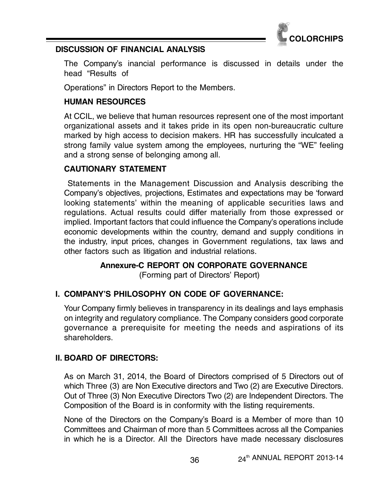

# **DISCUSSION OF FINANCIAL ANALYSIS**

The Company's inancial performance is discussed in details under the head "Results of

Operations" in Directors Report to the Members.

# **HUMAN RESOURCES**

At CCIL, we believe that human resources represent one of the most important organizational assets and it takes pride in its open non-bureaucratic culture marked by high access to decision makers. HR has successfully inculcated a strong family value system among the employees, nurturing the "WE" feeling and a strong sense of belonging among all.

# **CAUTIONARY STATEMENT**

 Statements in the Management Discussion and Analysis describing the Company's objectives, projections, Estimates and expectations may be 'forward looking statements' within the meaning of applicable securities laws and regulations. Actual results could differ materially from those expressed or implied. Important factors that could influence the Company's operations include economic developments within the country, demand and supply conditions in the industry, input prices, changes in Government regulations, tax laws and other factors such as litigation and industrial relations.

**Annexure-C REPORT ON CORPORATE GOVERNANCE**

(Forming part of Directors' Report)

# **I. COMPANY'S PHILOSOPHY ON CODE OF GOVERNANCE:**

Your Company firmly believes in transparency in its dealings and lays emphasis on integrity and regulatory compliance. The Company considers good corporate governance a prerequisite for meeting the needs and aspirations of its shareholders.

# **II. BOARD OF DIRECTORS:**

As on March 31, 2014, the Board of Directors comprised of 5 Directors out of which Three (3) are Non Executive directors and Two (2) are Executive Directors. Out of Three (3) Non Executive Directors Two (2) are Independent Directors. The Composition of the Board is in conformity with the listing requirements.

None of the Directors on the Company's Board is a Member of more than 10 Committees and Chairman of more than 5 Committees across all the Companies in which he is a Director. All the Directors have made necessary disclosures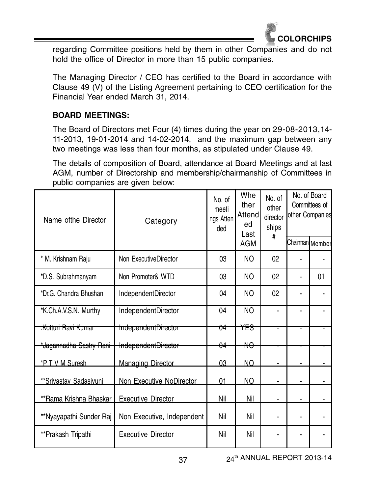

regarding Committee positions held by them in other Companies and do not hold the office of Director in more than 15 public companies.

The Managing Director / CEO has certified to the Board in accordance with Clause 49 (V) of the Listing Agreement pertaining to CEO certification for the Financial Year ended March 31, 2014.

# **BOARD MEETINGS:**

The Board of Directors met Four (4) times during the year on 29-08-2013,14- 11-2013, 19-01-2014 and 14-02-2014, and the maximum gap between any two meetings was less than four months, as stipulated under Clause 49.

The details of composition of Board, attendance at Board Meetings and at last AGM, number of Directorship and membership/chairmanship of Committees in public companies are given below:

| Name of the Director           | Category                       | No. of<br>meeti<br>ngs Atten<br>ded | Whe<br>ther<br>Attend<br>ed<br>Last | No. of<br>other<br>director<br>ships | No. of Board<br>Committees of<br>other Companies |                 |
|--------------------------------|--------------------------------|-------------------------------------|-------------------------------------|--------------------------------------|--------------------------------------------------|-----------------|
|                                |                                |                                     | <b>AGM</b>                          | #                                    |                                                  | Chairman Member |
| * M. Krishnam Raju             | Non ExecutiveDirector          | 03                                  | NO.                                 | 02                                   |                                                  |                 |
| *D.S. Subrahmanyam             | Non Promoter& WTD              | 03                                  | NO.                                 | 02                                   |                                                  | 01              |
| *Dr.G. Chandra Bhushan         | IndependentDirector            | 04                                  | NO.                                 | 02                                   |                                                  |                 |
| *K.Ch.A.V.S.N. Murthy          | IndependentDirector            | 04                                  | NO                                  |                                      |                                                  |                 |
| <del>.Kotturi Ravi Kumar</del> | <del>IndependentDirector</del> | <del>04</del>                       | <del>YFS</del>                      |                                      |                                                  |                 |
| *Jagannadha Sastry Rani        | IndependentDirector            | $\theta$ 4                          | ₩Ѳ                                  |                                      |                                                  |                 |
| *P T V M Suresh                | Managing Director              | 03                                  | NO.                                 | ۰                                    |                                                  |                 |
| **Srivastav Sadasivuni         | Non Executive NoDirector       | 01                                  | NO                                  |                                      |                                                  |                 |
| **Rama Krishna Bhaskar         | <b>Executive Director</b>      | Nil                                 | Nil                                 | ۰                                    |                                                  | ٠               |
| **Nyayapathi Sunder Raj        | Non Executive, Independent     | Nil                                 | Nil                                 | ۰                                    | ٠                                                | ۰               |
| **Prakash Tripathi             | <b>Executive Director</b>      | Nil                                 | Nil                                 |                                      |                                                  |                 |

37 24<sup>th</sup> ANNUAL REPORT 2013-14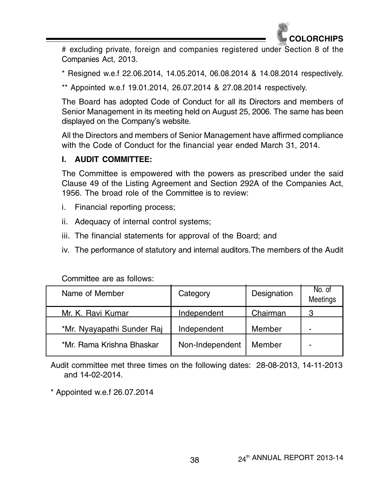

# excluding private, foreign and companies registered under Section 8 of the Companies Act, 2013.

\* Resigned w.e.f 22.06.2014, 14.05.2014, 06.08.2014 & 14.08.2014 respectively.

\*\* Appointed w.e.f 19.01.2014, 26.07.2014 & 27.08.2014 respectively.

The Board has adopted Code of Conduct for all its Directors and members of Senior Management in its meeting held on August 25, 2006. The same has been displayed on the Company's website.

All the Directors and members of Senior Management have affirmed compliance with the Code of Conduct for the financial year ended March 31, 2014.

# **I. AUDIT COMMITTEE:**

The Committee is empowered with the powers as prescribed under the said Clause 49 of the Listing Agreement and Section 292A of the Companies Act, 1956. The broad role of the Committee is to review:

- i. Financial reporting process;
- ii. Adequacy of internal control systems;
- iii. The financial statements for approval of the Board; and
- iv. The performance of statutory and internal auditors.The members of the Audit

| Name of Member             | Category        | Designation | No. of<br>Meetings |
|----------------------------|-----------------|-------------|--------------------|
| Mr. K. Ravi Kumar          | Independent     | Chairman    | פ                  |
| *Mr. Nyayapathi Sunder Raj | Independent     | Member      |                    |
| *Mr. Rama Krishna Bhaskar  | Non-Independent | Member      |                    |

Committee are as follows:

Audit committee met three times on the following dates: 28-08-2013, 14-11-2013 and 14-02-2014.

\* Appointed w.e.f 26.07.2014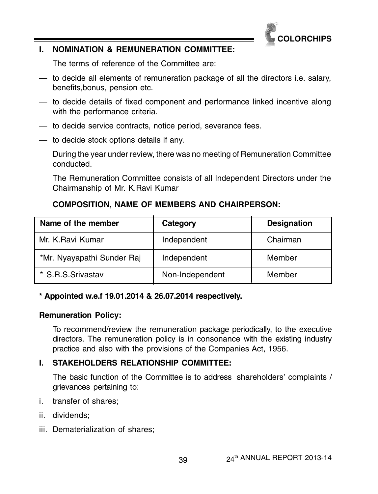

# **I. NOMINATION & REMUNERATION COMMITTEE:**

The terms of reference of the Committee are:

- to decide all elements of remuneration package of all the directors i.e. salary, benefits,bonus, pension etc.
- to decide details of fixed component and performance linked incentive along with the performance criteria.
- to decide service contracts, notice period, severance fees.
- to decide stock options details if any.

During the year under review, there was no meeting of Remuneration Committee conducted.

The Remuneration Committee consists of all Independent Directors under the Chairmanship of Mr. K.Ravi Kumar

# **COMPOSITION, NAME OF MEMBERS AND CHAIRPERSON:**

| Name of the member         | Category        | <b>Designation</b> |
|----------------------------|-----------------|--------------------|
| Mr. K.Ravi Kumar           | Independent     | Chairman           |
| *Mr. Nyayapathi Sunder Raj | Independent     | Member             |
| * S.R.S.Srivastav          | Non-Independent | Member             |

# **\* Appointed w.e.f 19.01.2014 & 26.07.2014 respectively.**

# **Remuneration Policy:**

To recommend/review the remuneration package periodically, to the executive directors. The remuneration policy is in consonance with the existing industry practice and also with the provisions of the Companies Act, 1956.

# **I. STAKEHOLDERS RELATIONSHIP COMMITTEE:**

The basic function of the Committee is to address shareholders' complaints / grievances pertaining to:

- i. transfer of shares;
- ii. dividends;
- iii. Dematerialization of shares;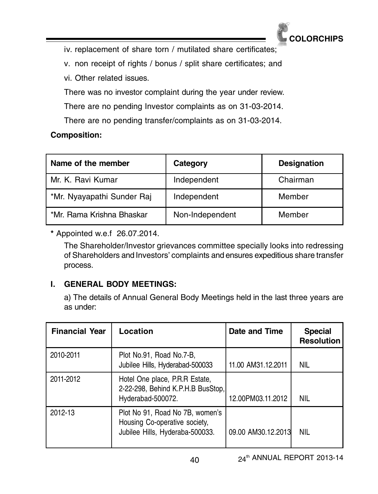

iv. replacement of share torn / mutilated share certificates;

v. non receipt of rights / bonus / split share certificates; and

vi. Other related issues.

There was no investor complaint during the year under review.

There are no pending Investor complaints as on 31-03-2014.

There are no pending transfer/complaints as on 31-03-2014.

# **Composition:**

| Name of the member         | Category        | <b>Designation</b> |
|----------------------------|-----------------|--------------------|
| Mr. K. Ravi Kumar          | Independent     | Chairman           |
| *Mr. Nyayapathi Sunder Raj | Independent     | Member             |
| *Mr. Rama Krishna Bhaskar  | Non-Independent | Member             |

**\*** Appointed w.e.f 26.07.2014.

The Shareholder/Investor grievances committee specially looks into redressing of Shareholders and Investors' complaints and ensures expeditious share transfer process.

# **I. GENERAL BODY MEETINGS:**

a) The details of Annual General Body Meetings held in the last three years are as under:

| <b>Financial Year</b> | Location                                                                                            | Date and Time      | <b>Special</b><br><b>Resolution</b> |
|-----------------------|-----------------------------------------------------------------------------------------------------|--------------------|-------------------------------------|
| 2010-2011             | Plot No.91, Road No.7-B,<br>Jubilee Hills, Hyderabad-500033                                         | 11.00 AM31.12.2011 | NIL                                 |
| 2011-2012             | Hotel One place, P.R.R Estate,<br>2-22-298, Behind K.P.H.B BusStop,<br>Hyderabad-500072.            | 12.00PM03.11.2012  | NIL                                 |
| 2012-13               | Plot No 91, Road No 7B, women's<br>Housing Co-operative society,<br>Jubilee Hills, Hyderaba-500033. | 09.00 AM30.12.2013 | NIL                                 |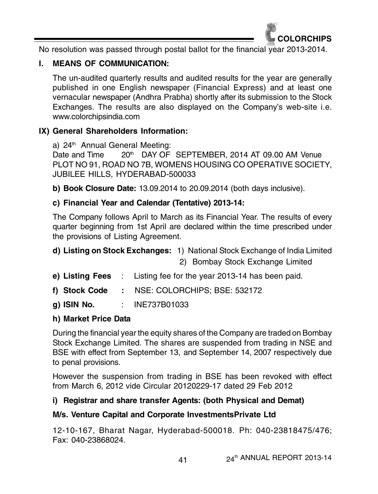

No resolution was passed through postal ballot for the financial year 2013-2014.

# **I. MEANS OF COMMUNICATION:**

The un-audited quarterly results and audited results for the year are generally published in one English newspaper (Financial Express) and at least one vernacular newspaper (Andhra Prabha) shortly after its submission to the Stock Exchanges. The results are also displayed on the Company's web-site i.e. www.colorchipsindia.com

# **IX) General Shareholders Information:**

a) 24<sup>th</sup> Annual General Meeting: Date and Time 20<sup>th</sup> DAY OF SEPTEMBER, 2014 AT 09.00 AM Venue PLOT NO 91, ROAD NO 7B, WOMENS HOUSING CO OPERATIVE SOCIETY, JUBILEE HILLS, HYDERABAD-500033

**b) Book Closure Date:** 13.09.2014 to 20.09.2014 (both days inclusive).

# **c) Financial Year and Calendar (Tentative) 2013-14:**

The Company follows April to March as its Financial Year. The results of every quarter beginning from 1st April are declared within the time prescribed under the provisions of Listing Agreement.

# **d) Listing on Stock Exchanges:** 1) National Stock Exchange of India Limited 2) Bombay Stock Exchange Limited

- **e) Listing Fees** : Listing fee for the year 2013-14 has been paid.
- **f) Stock Code :** NSE: COLORCHIPS; BSE: 532172
- **g) ISIN No.** : INE737B01033

# **h) Market Price Data**

During the financial year the equity shares of the Company are traded on Bombay Stock Exchange Limited. The shares are suspended from trading in NSE and BSE with effect from September 13, and September 14, 2007 respectively due to penal provisions.

However the suspension from trading in BSE has been revoked with effect from March 6, 2012 vide Circular 20120229-17 dated 29 Feb 2012

# **i) Registrar and share transfer Agents: (both Physical and Demat)**

# **M/s. Venture Capital and Corporate InvestmentsPrivate Ltd**

12-10-167, Bharat Nagar, Hyderabad-500018. Ph: 040-23818475/476; Fax: 040-23868024.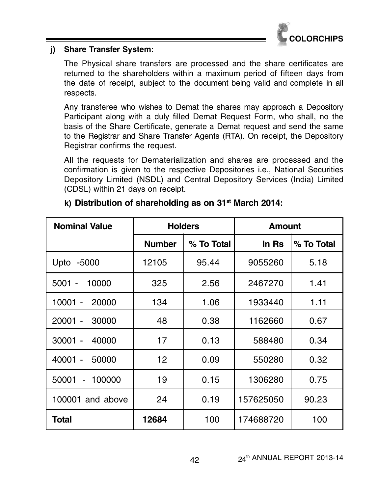

# **j) Share Transfer System:**

The Physical share transfers are processed and the share certificates are returned to the shareholders within a maximum period of fifteen days from the date of receipt, subject to the document being valid and complete in all respects.

Any transferee who wishes to Demat the shares may approach a Depository Participant along with a duly filled Demat Request Form, who shall, no the basis of the Share Certificate, generate a Demat request and send the same to the Registrar and Share Transfer Agents (RTA). On receipt, the Depository Registrar confirms the request.

All the requests for Dematerialization and shares are processed and the confirmation is given to the respective Depositories i.e., National Securities Depository Limited (NSDL) and Central Depository Services (India) Limited (CDSL) within 21 days on receipt.

| <b>Nominal Value</b>                       | <b>Holders</b> |            | Amount    |            |
|--------------------------------------------|----------------|------------|-----------|------------|
|                                            | <b>Number</b>  | % To Total | In Rs     | % To Total |
| Upto -5000                                 | 12105          | 95.44      | 9055260   | 5.18       |
| 10000<br>5001                              | 325            | 2.56       | 2467270   | 1.41       |
| 10001 -<br>20000                           | 134            | 1.06       | 1933440   | 1.11       |
| $20001 -$<br>30000                         | 48             | 0.38       | 1162660   | 0.67       |
| 40000<br>30001<br>$\overline{\phantom{a}}$ | 17             | 0.13       | 588480    | 0.34       |
| $40001 -$<br>50000                         | 12             | 0.09       | 550280    | 0.32       |
| 50001<br>100000                            | 19             | 0.15       | 1306280   | 0.75       |
| 100001 and above                           | 24             | 0.19       | 157625050 | 90.23      |
| Total                                      | 12684          | 100        | 174688720 | 100        |

# **k) Distribution of shareholding as on 31st March 2014:**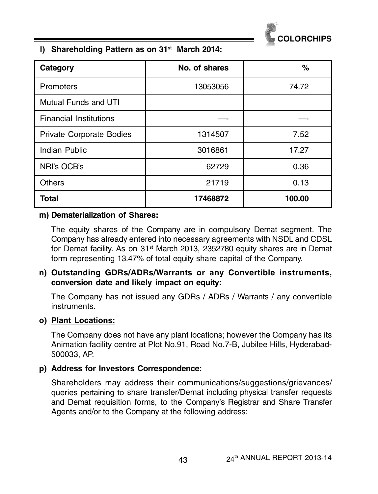

#### **l) Shareholding Pattern as on 31st March 2014:**

| Category                      | No. of shares | ℅      |
|-------------------------------|---------------|--------|
| Promoters                     | 13053056      | 74.72  |
| Mutual Funds and UTI          |               |        |
| <b>Financial Institutions</b> |               |        |
| Private Corporate Bodies      | 1314507       | 7.52   |
| Indian Public                 | 3016861       | 17.27  |
| NRI's OCB's                   | 62729         | 0.36   |
| <b>Others</b>                 | 21719         | 0.13   |
| Total                         | 17468872      | 100.00 |

#### **m) Dematerialization of Shares:**

The equity shares of the Company are in compulsory Demat segment. The Company has already entered into necessary agreements with NSDL and CDSL for Demat facility. As on 31<sup>st</sup> March 2013, 2352780 equity shares are in Demat form representing 13.47% of total equity share capital of the Company.

# **n) Outstanding GDRs/ADRs/Warrants or any Convertible instruments, conversion date and likely impact on equity:**

The Company has not issued any GDRs / ADRs / Warrants / any convertible instruments.

#### **o) Plant Locations:**

The Company does not have any plant locations; however the Company has its Animation facility centre at Plot No.91, Road No.7-B, Jubilee Hills, Hyderabad-500033, AP.

#### **p) Address for Investors Correspondence:**

Shareholders may address their communications/suggestions/grievances/ queries pertaining to share transfer/Demat including physical transfer requests and Demat requisition forms, to the Company's Registrar and Share Transfer Agents and/or to the Company at the following address: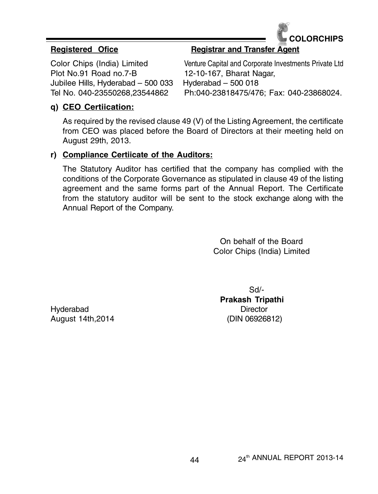

Plot No.91 Road no.7-B 12-10-167, Bharat Nagar, Jubilee Hills, Hyderabad – 500 033 Hyderabad – 500 018

# **Registered Ofice Registrar and Transfer Agent**

Color Chips (India) Limited Venture Capital and Corporate Investments Private Ltd Tel No. 040-23550268,23544862 Ph:040-23818475/476; Fax: 040-23868024.

# **q) CEO Certiication:**

As required by the revised clause 49 (V) of the Listing Agreement, the certificate from CEO was placed before the Board of Directors at their meeting held on August 29th, 2013.

#### **r) Compliance Certiicate of the Auditors:**

The Statutory Auditor has certified that the company has complied with the conditions of the Corporate Governance as stipulated in clause 49 of the listing agreement and the same forms part of the Annual Report. The Certificate from the statutory auditor will be sent to the stock exchange along with the Annual Report of the Company.

> On behalf of the Board Color Chips (India) Limited

Hyderabad Director August 14th,2014 (DIN 06926812)

Sd/- **Prakash Tripathi**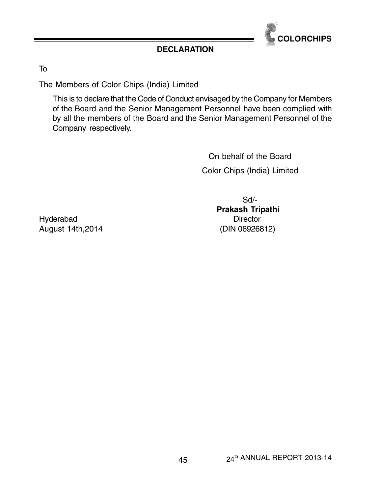

# **DECLARATION**

To

The Members of Color Chips (India) Limited

This is to declare that the Code of Conduct envisaged by the Company for Members of the Board and the Senior Management Personnel have been complied with by all the members of the Board and the Senior Management Personnel of the Company respectively.

> On behalf of the Board Color Chips (India) Limited

> > Sd/-  **Prakash Tripathi**

Hyderabad Director August 14th,2014 (DIN 06926812)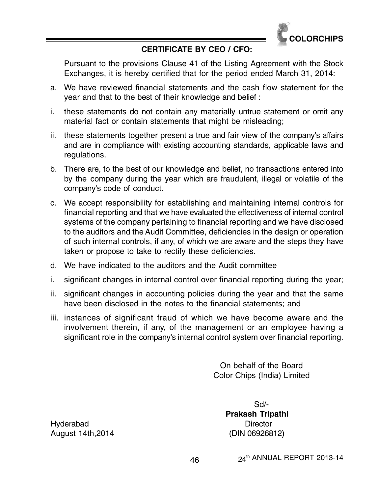

# **CERTIFICATE BY CEO / CFO:**

Pursuant to the provisions Clause 41 of the Listing Agreement with the Stock Exchanges, it is hereby certified that for the period ended March 31, 2014:

- a. We have reviewed financial statements and the cash flow statement for the year and that to the best of their knowledge and belief :
- i. these statements do not contain any materially untrue statement or omit any material fact or contain statements that might be misleading;
- ii. these statements together present a true and fair view of the company's affairs and are in compliance with existing accounting standards, applicable laws and regulations.
- b. There are, to the best of our knowledge and belief, no transactions entered into by the company during the year which are fraudulent, illegal or volatile of the company's code of conduct.
- c. We accept responsibility for establishing and maintaining internal controls for financial reporting and that we have evaluated the effectiveness of internal control systems of the company pertaining to financial reporting and we have disclosed to the auditors and the Audit Committee, deficiencies in the design or operation of such internal controls, if any, of which we are aware and the steps they have taken or propose to take to rectify these deficiencies.
- d. We have indicated to the auditors and the Audit committee
- i. significant changes in internal control over financial reporting during the year;
- ii. significant changes in accounting policies during the year and that the same have been disclosed in the notes to the financial statements; and
- iii. instances of significant fraud of which we have become aware and the involvement therein, if any, of the management or an employee having a significant role in the company's internal control system over financial reporting.

On behalf of the Board Color Chips (India) Limited

> Sd/-  **Prakash Tripathi**

Hyderabad Director August 14th,2014 (DIN 06926812)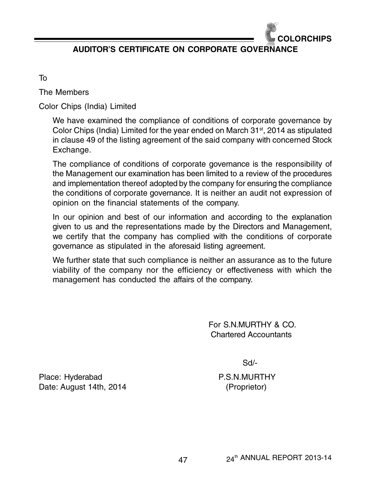

**AUDITOR'S CERTIFICATE ON CORPORATE GOVERNANCE**

To

The Members

Color Chips (India) Limited

We have examined the compliance of conditions of corporate governance by Color Chips (India) Limited for the year ended on March  $31<sup>st</sup>$ , 2014 as stipulated in clause 49 of the listing agreement of the said company with concerned Stock Exchange.

The compliance of conditions of corporate governance is the responsibility of the Management our examination has been limited to a review of the procedures and implementation thereof adopted by the company for ensuring the compliance the conditions of corporate governance. It is neither an audit not expression of opinion on the financial statements of the company.

In our opinion and best of our information and according to the explanation given to us and the representations made by the Directors and Management, we certify that the company has complied with the conditions of corporate governance as stipulated in the aforesaid listing agreement.

We further state that such compliance is neither an assurance as to the future viability of the company nor the efficiency or effectiveness with which the management has conducted the affairs of the company.

> For S.N.MURTHY & CO. Chartered Accountants

> > Sd/-

Place: Hyderabad P.S.N.MURTHY Date: August 14th, 2014 (Proprietor)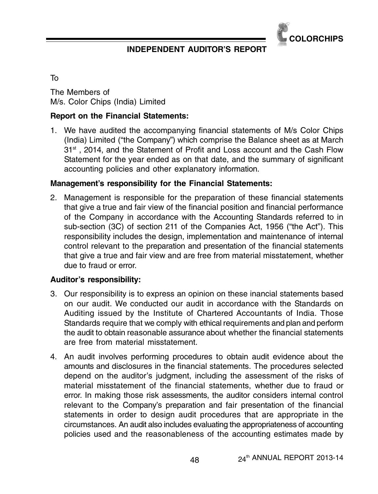

# **INDEPENDENT AUDITOR'S REPORT**

To

The Members of M/s. Color Chips (India) Limited

# **Report on the Financial Statements:**

1. We have audited the accompanying financial statements of M/s Color Chips (India) Limited ("the Company") which comprise the Balance sheet as at March  $31<sup>st</sup>$  , 2014, and the Statement of Profit and Loss account and the Cash Flow Statement for the year ended as on that date, and the summary of significant accounting policies and other explanatory information.

#### **Management's responsibility for the Financial Statements:**

2. Management is responsible for the preparation of these financial statements that give a true and fair view of the financial position and financial performance of the Company in accordance with the Accounting Standards referred to in sub-section (3C) of section 211 of the Companies Act, 1956 ("the Act"). This responsibility includes the design, implementation and maintenance of internal control relevant to the preparation and presentation of the financial statements that give a true and fair view and are free from material misstatement, whether due to fraud or error.

#### **Auditor's responsibility:**

- 3. Our responsibility is to express an opinion on these inancial statements based on our audit. We conducted our audit in accordance with the Standards on Auditing issued by the Institute of Chartered Accountants of India. Those Standards require that we comply with ethical requirements and plan and perform the audit to obtain reasonable assurance about whether the financial statements are free from material misstatement.
- 4. An audit involves performing procedures to obtain audit evidence about the amounts and disclosures in the financial statements. The procedures selected depend on the auditor's judgment, including the assessment of the risks of material misstatement of the financial statements, whether due to fraud or error. In making those risk assessments, the auditor considers internal control relevant to the Company's preparation and fair presentation of the financial statements in order to design audit procedures that are appropriate in the circumstances. An audit also includes evaluating the appropriateness of accounting policies used and the reasonableness of the accounting estimates made by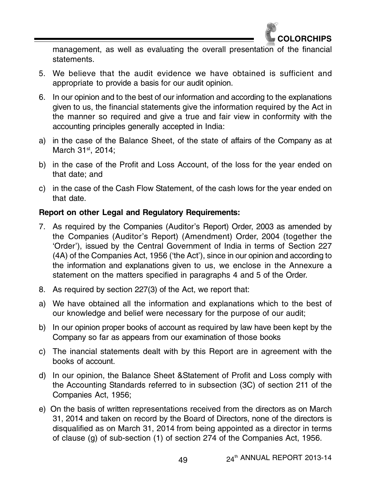

management, as well as evaluating the overall presentation of the financial statements.

- 5. We believe that the audit evidence we have obtained is sufficient and appropriate to provide a basis for our audit opinion.
- 6. In our opinion and to the best of our information and according to the explanations given to us, the financial statements give the information required by the Act in the manner so required and give a true and fair view in conformity with the accounting principles generally accepted in India:
- a) in the case of the Balance Sheet, of the state of affairs of the Company as at March 31<sup>st</sup>, 2014;
- b) in the case of the Profit and Loss Account, of the loss for the year ended on that date; and
- c) in the case of the Cash Flow Statement, of the cash lows for the year ended on that date.

# **Report on other Legal and Regulatory Requirements:**

- 7. As required by the Companies (Auditor's Report) Order, 2003 as amended by the Companies (Auditor's Report) (Amendment) Order, 2004 (together the 'Order'), issued by the Central Government of India in terms of Section 227 (4A) of the Companies Act, 1956 ('the Act'), since in our opinion and according to the information and explanations given to us, we enclose in the Annexure a statement on the matters specified in paragraphs 4 and 5 of the Order.
- 8. As required by section 227(3) of the Act, we report that:
- a) We have obtained all the information and explanations which to the best of our knowledge and belief were necessary for the purpose of our audit;
- b) In our opinion proper books of account as required by law have been kept by the Company so far as appears from our examination of those books
- c) The inancial statements dealt with by this Report are in agreement with the books of account.
- d) In our opinion, the Balance Sheet &Statement of Profit and Loss comply with the Accounting Standards referred to in subsection (3C) of section 211 of the Companies Act, 1956;
- e) On the basis of written representations received from the directors as on March 31, 2014 and taken on record by the Board of Directors, none of the directors is disqualified as on March 31, 2014 from being appointed as a director in terms of clause (g) of sub-section (1) of section 274 of the Companies Act, 1956.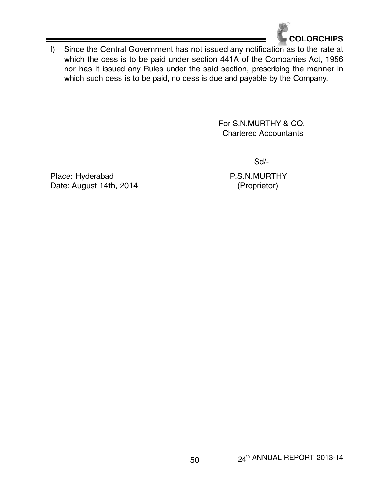

f) Since the Central Government has not issued any notification as to the rate at which the cess is to be paid under section 441A of the Companies Act, 1956 nor has it issued any Rules under the said section, prescribing the manner in which such cess is to be paid, no cess is due and payable by the Company.

> For S.N.MURTHY & CO. Chartered Accountants

> > Sd/-

Place: Hyderabad P.S.N.MURTHY Date: August 14th, 2014 (Proprietor)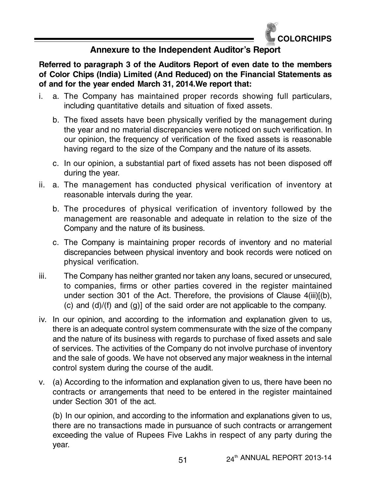

# **Annexure to the Independent Auditor's Report**

**Referred to paragraph 3 of the Auditors Report of even date to the members of Color Chips (India) Limited (And Reduced) on the Financial Statements as of and for the year ended March 31, 2014.We report that:**

- i. a. The Company has maintained proper records showing full particulars, including quantitative details and situation of fixed assets.
	- b. The fixed assets have been physically verified by the management during the year and no material discrepancies were noticed on such verification. In our opinion, the frequency of verification of the fixed assets is reasonable having regard to the size of the Company and the nature of its assets.
	- c. In our opinion, a substantial part of fixed assets has not been disposed off during the year.
- ii. a. The management has conducted physical verification of inventory at reasonable intervals during the year.
	- b. The procedures of physical verification of inventory followed by the management are reasonable and adequate in relation to the size of the Company and the nature of its business.
	- c. The Company is maintaining proper records of inventory and no material discrepancies between physical inventory and book records were noticed on physical verification.
- iii. The Company has neither granted nor taken any loans, secured or unsecured, to companies, firms or other parties covered in the register maintained under section 301 of the Act. Therefore, the provisions of Clause 4(iii)[(b), (c) and (d)/(f) and (g)] of the said order are not applicable to the company.
- iv. In our opinion, and according to the information and explanation given to us, there is an adequate control system commensurate with the size of the company and the nature of its business with regards to purchase of fixed assets and sale of services. The activities of the Company do not involve purchase of inventory and the sale of goods. We have not observed any major weakness in the internal control system during the course of the audit.
- v. (a) According to the information and explanation given to us, there have been no contracts or arrangements that need to be entered in the register maintained under Section 301 of the act.

(b) In our opinion, and according to the information and explanations given to us, there are no transactions made in pursuance of such contracts or arrangement exceeding the value of Rupees Five Lakhs in respect of any party during the year.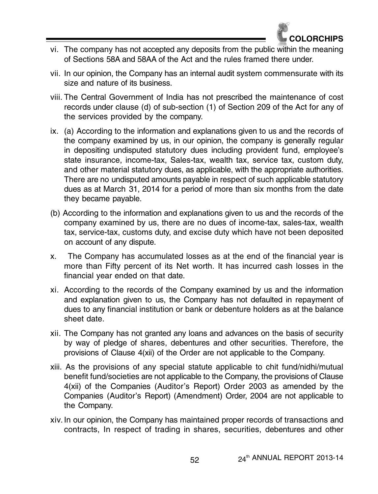

- vi. The company has not accepted any deposits from the public within the meaning of Sections 58A and 58AA of the Act and the rules framed there under.
- vii. In our opinion, the Company has an internal audit system commensurate with its size and nature of its business.
- viii. The Central Government of India has not prescribed the maintenance of cost records under clause (d) of sub-section (1) of Section 209 of the Act for any of the services provided by the company.
- ix. (a) According to the information and explanations given to us and the records of the company examined by us, in our opinion, the company is generally regular in depositing undisputed statutory dues including provident fund, employee's state insurance, income-tax, Sales-tax, wealth tax, service tax, custom duty, and other material statutory dues, as applicable, with the appropriate authorities. There are no undisputed amounts payable in respect of such applicable statutory dues as at March 31, 2014 for a period of more than six months from the date they became payable.
- (b) According to the information and explanations given to us and the records of the company examined by us, there are no dues of income-tax, sales-tax, wealth tax, service-tax, customs duty, and excise duty which have not been deposited on account of any dispute.
- x. The Company has accumulated losses as at the end of the financial year is more than Fifty percent of its Net worth. It has incurred cash losses in the financial year ended on that date.
- xi. According to the records of the Company examined by us and the information and explanation given to us, the Company has not defaulted in repayment of dues to any financial institution or bank or debenture holders as at the balance sheet date.
- xii. The Company has not granted any loans and advances on the basis of security by way of pledge of shares, debentures and other securities. Therefore, the provisions of Clause 4(xii) of the Order are not applicable to the Company.
- xiii. As the provisions of any special statute applicable to chit fund/nidhi/mutual benefit fund/societies are not applicable to the Company, the provisions of Clause 4(xii) of the Companies (Auditor's Report) Order 2003 as amended by the Companies (Auditor's Report) (Amendment) Order, 2004 are not applicable to the Company.
- xiv. In our opinion, the Company has maintained proper records of transactions and contracts, In respect of trading in shares, securities, debentures and other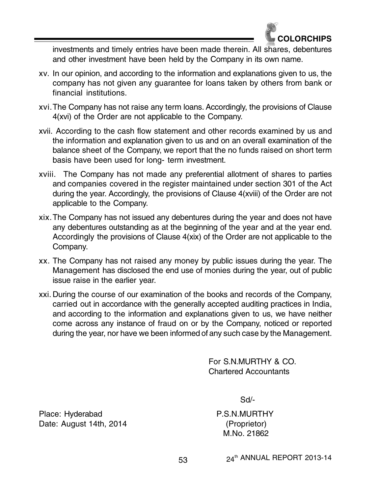

investments and timely entries have been made therein. All shares, debentures and other investment have been held by the Company in its own name.

- xv. In our opinion, and according to the information and explanations given to us, the company has not given any guarantee for loans taken by others from bank or financial institutions.
- xvi.The Company has not raise any term loans. Accordingly, the provisions of Clause 4(xvi) of the Order are not applicable to the Company.
- xvii. According to the cash flow statement and other records examined by us and the information and explanation given to us and on an overall examination of the balance sheet of the Company, we report that the no funds raised on short term basis have been used for long- term investment.
- xviii. The Company has not made any preferential allotment of shares to parties and companies covered in the register maintained under section 301 of the Act during the year. Accordingly, the provisions of Clause 4(xviii) of the Order are not applicable to the Company.
- xix.The Company has not issued any debentures during the year and does not have any debentures outstanding as at the beginning of the year and at the year end. Accordingly the provisions of Clause 4(xix) of the Order are not applicable to the Company.
- xx. The Company has not raised any money by public issues during the year. The Management has disclosed the end use of monies during the year, out of public issue raise in the earlier year.
- xxi. During the course of our examination of the books and records of the Company, carried out in accordance with the generally accepted auditing practices in India, and according to the information and explanations given to us, we have neither come across any instance of fraud on or by the Company, noticed or reported during the year, nor have we been informed of any such case by the Management.

For S.N.MURTHY & CO. Chartered Accountants

Sd/-

M.No. 21862

Place: Hyderabad P.S.N.MURTHY Date: August 14th, 2014 (Proprietor)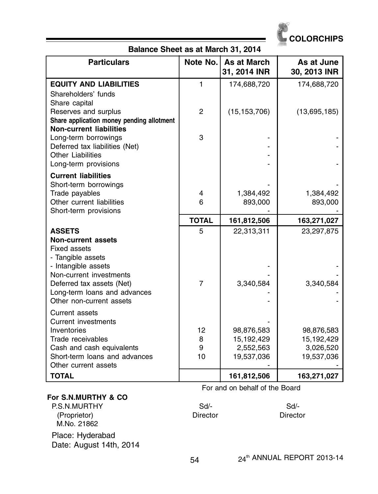

# **Balance Sheet as at March 31, 2014**

| <b>Particulars</b>                                                | Note No.       | As at March<br>31, 2014 INR | As at June<br>30, 2013 INR |
|-------------------------------------------------------------------|----------------|-----------------------------|----------------------------|
| <b>EQUITY AND LIABILITIES</b>                                     | $\mathbf{1}$   | 174,688,720                 | 174,688,720                |
| Shareholders' funds                                               |                |                             |                            |
| Share capital                                                     |                |                             |                            |
| Reserves and surplus<br>Share application money pending allotment | 2              | (15, 153, 706)              | (13,695,185)               |
| <b>Non-current liabilities</b>                                    |                |                             |                            |
| Long-term borrowings                                              | 3              |                             |                            |
| Deferred tax liabilities (Net)                                    |                |                             |                            |
| <b>Other Liabilities</b>                                          |                |                             |                            |
| Long-term provisions                                              |                |                             |                            |
| <b>Current liabilities</b>                                        |                |                             |                            |
| Short-term borrowings<br>Trade payables                           | 4              | 1,384,492                   | 1,384,492                  |
| Other current liabilities                                         | 6              | 893,000                     | 893,000                    |
| Short-term provisions                                             |                |                             |                            |
|                                                                   | <b>TOTAL</b>   | 161,812,506                 | 163,271,027                |
| <b>ASSETS</b>                                                     | 5              | 22,313,311                  | 23,297,875                 |
| <b>Non-current assets</b>                                         |                |                             |                            |
| Fixed assets<br>- Tangible assets                                 |                |                             |                            |
| - Intangible assets                                               |                |                             |                            |
| Non-current investments                                           |                |                             |                            |
| Deferred tax assets (Net)                                         | $\overline{7}$ | 3,340,584                   | 3,340,584                  |
| Long-term loans and advances                                      |                |                             |                            |
| Other non-current assets                                          |                |                             |                            |
| Current assets                                                    |                |                             |                            |
| <b>Current investments</b><br>Inventories                         | 12             |                             |                            |
| Trade receivables                                                 | 8              | 98,876,583<br>15,192,429    | 98,876,583<br>15,192,429   |
| Cash and cash equivalents                                         | 9              | 2,552,563                   | 3,026,520                  |
| Short-term loans and advances                                     | 10             | 19,537,036                  | 19,537,036                 |
| Other current assets                                              |                |                             |                            |
| <b>TOTAL</b>                                                      |                | 161,812,506                 | 163,271,027                |

#### For and on behalf of the Board

#### **For S.N.MURTHY & CO**

P.S.N.MURTHY Sd/- Sd/- Sd/- Sd/- Sd/- Sd/-<br>(Proprietor) (Proprietor) (Proprietor) (Proprietor) M.No. 21862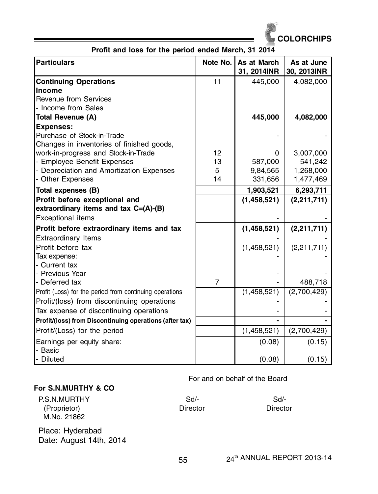

**Profit and loss for the period ended March, 31 2014**

| <b>Particulars</b>                                      | Note No. | As at March<br>31, 2014INR | As at June<br>30, 2013INR |
|---------------------------------------------------------|----------|----------------------------|---------------------------|
| <b>Continuing Operations</b>                            | 11       | 445,000                    | 4,082,000                 |
| Income                                                  |          |                            |                           |
| Revenue from Services                                   |          |                            |                           |
| - Income from Sales                                     |          |                            |                           |
| Total Revenue (A)                                       |          | 445,000                    | 4,082,000                 |
| <b>Expenses:</b>                                        |          |                            |                           |
| Purchase of Stock-in-Trade                              |          |                            |                           |
| Changes in inventories of finished goods,               |          |                            |                           |
| work-in-progress and Stock-in-Trade                     | 12       | 0                          | 3,007,000                 |
| - Employee Benefit Expenses                             | 13       | 587,000                    | 541,242                   |
| - Depreciation and Amortization Expenses                | 5        | 9,84,565                   | 1,268,000                 |
| - Other Expenses                                        | 14       | 331,656                    | 1,477,469                 |
| Total expenses (B)                                      |          | 1,903,521                  | 6,293,711                 |
| Profit before exceptional and                           |          | (1,458,521)                | (2,211,711)               |
| extraordinary items and tax $C=(A)-(B)$                 |          |                            |                           |
| Exceptional items                                       |          |                            |                           |
| Profit before extraordinary items and tax               |          | (1,458,521)                | (2,211,711)               |
| <b>Extraordinary Items</b>                              |          |                            |                           |
| Profit before tax                                       |          | (1,458,521)                | (2,211,711)               |
| Tax expense:                                            |          |                            |                           |
| - Current tax                                           |          |                            |                           |
| - Previous Year                                         |          |                            |                           |
| - Deferred tax                                          | 7        |                            | 488,718                   |
| Profit (Loss) for the period from continuing operations |          | (1,458,521)                | (2,700,429)               |
| Profit/(loss) from discontinuing operations             |          |                            |                           |
| Tax expense of discontinuing operations                 |          |                            |                           |
| Profit/(loss) from Discontinuing operations (after tax) |          |                            |                           |
| Profit/(Loss) for the period                            |          | (1,458,521)                | (2,700,429)               |
| Earnings per equity share:                              |          | (0.08)                     | (0.15)                    |
| - Basic                                                 |          |                            |                           |
| - Diluted                                               |          | (0.08)                     | (0.15)                    |

#### **For S.N.MURTHY & CO**

#### For and on behalf of the Board

| P.S.N.MURTHY | $Sd/$ -  | Sd/-     |
|--------------|----------|----------|
| (Proprietor) | Director | Director |
| M.No. 21862  |          |          |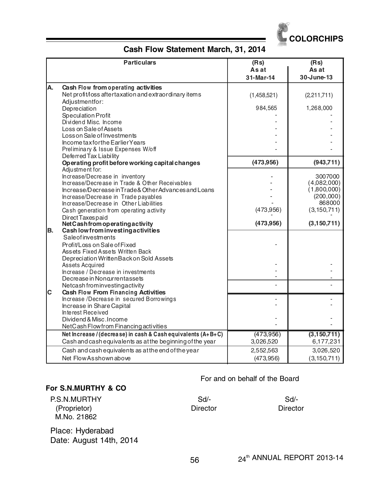

# **Cash Flow Statement March, 31, 2014**

|    | <b>Particulars</b>                                                                                                                        | (Rs)<br>As at<br>31-Mar-14 | (Rs)<br>As at<br>30-June-13           |
|----|-------------------------------------------------------------------------------------------------------------------------------------------|----------------------------|---------------------------------------|
| A. | Cash Flow from operating activities<br>Net profit/loss aftertaxation and extraordinary items                                              | (1,458,521)                | (2,211,711)                           |
|    | Adjustmentfor:<br>Depreciation<br>Speculation Profit                                                                                      | 984,565                    | 1,268,000                             |
|    | Dividend Misc. Income<br>Loss on Sale of Assets                                                                                           |                            |                                       |
|    | Loss on Sale of Investments<br>Income tax for the Earlier Years                                                                           |                            |                                       |
|    | Preliminary & Issue Expenses W/off<br>Deferred Tax Liability                                                                              | (473,956)                  | (943, 711)                            |
|    | Operating profit before working capital changes<br>Adjustment for:                                                                        |                            |                                       |
|    | Increase/Decrease in inventory<br>Increase/Decrease in Trade & Other Receivables<br>Increase/Decrease in Trade & Other Advances and Loans |                            | 3007000<br>(4,082,000)<br>(1,800,000) |
|    | Increase/Decrease in Trade payables<br>Increase/Decrease in Other Liabilities                                                             |                            | (200,000)<br>868000                   |
|    | Cash generation from operating activity<br>Direct Taxes paid                                                                              | (473,956)                  | (3, 150, 711)                         |
|    | Net Cash from operating activity                                                                                                          | (473,956)                  | (3,150,711)                           |
| B. | Cash low from investing activities<br>Saleofinvestments                                                                                   |                            |                                       |
|    | Profit/Loss on Sale of Fixed<br>Assets Fixed Assets Written Back                                                                          |                            |                                       |
|    | Depreciation WrittenBack on Sold Assets<br>Assets Acquired                                                                                |                            |                                       |
|    | Increase / Decrease in investments<br>Decrease in Noncurrentassets                                                                        |                            |                                       |
|    | Netcash from investing activity                                                                                                           |                            |                                       |
| Iс | Cash Flow From Financing Activities                                                                                                       |                            |                                       |
|    | Increase /Decrease in secured Borrowings<br>Increase in Share Capital                                                                     |                            |                                       |
|    | Interest Received                                                                                                                         |                            |                                       |
|    | Dividend & Misc. Income                                                                                                                   |                            |                                       |
|    | NetCash Flowfrom Financing activities<br>Net Increase / (decrease) in cash & Cash equivalents (A+B+C)                                     | (473,956)                  | (3,150,711)                           |
|    | Cash and cash equivalents as at the beginning of the year                                                                                 | 3,026,520                  | 6,177,231                             |
|    | Cash and cash equivalents as at the end of the year                                                                                       | 2,552,563                  | 3,026,520                             |
|    | Net Flow Asshown above                                                                                                                    | (473,956)                  | (3, 150, 711)                         |

#### **For S.N.MURTHY & CO**

#### For and on behalf of the Board

| P.S.N.MURTHY | Sd       | Sd/-     |
|--------------|----------|----------|
| (Proprietor) | Director | Director |
| M.No. 21862  |          |          |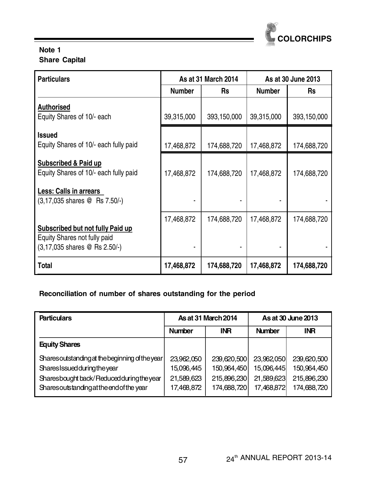

# **Note 1 Share Capital**

| <b>Particulars</b>                                                                                           | As at 31 March 2014 |             | As at 30 June 2013 |             |
|--------------------------------------------------------------------------------------------------------------|---------------------|-------------|--------------------|-------------|
|                                                                                                              | <b>Number</b>       | <b>Rs</b>   | <b>Number</b>      | <b>Rs</b>   |
| <b>Authorised</b>                                                                                            |                     |             |                    |             |
| Equity Shares of 10/- each                                                                                   | 39,315,000          | 393,150,000 | 39,315,000         | 393,150,000 |
| <b>Issued</b>                                                                                                |                     |             |                    |             |
| Equity Shares of 10/- each fully paid                                                                        | 17,468,872          | 174,688,720 | 17,468,872         | 174,688,720 |
| Subscribed & Paid up<br>Equity Shares of 10/- each fully paid                                                | 17,468,872          | 174,688,720 | 17,468,872         | 174,688,720 |
| Less: Calls in arrears<br>(3,17,035 shares @ Rs 7.50/-)                                                      |                     |             |                    |             |
| <b>Subscribed but not fully Paid up</b><br>Equity Shares not fully paid<br>$(3, 17, 035$ shares @ Rs 2.50/-) | 17,468,872          | 174,688,720 | 17,468,872         | 174,688,720 |
| Total                                                                                                        | 17,468,872          | 174,688,720 | 17,468,872         | 174,688,720 |

# **Reconciliation of number of shares outstanding for the period**

| <b>Particulars</b>                             | <b>As at 31 March 2014</b> |             | As at 30 June 2013 |             |
|------------------------------------------------|----------------------------|-------------|--------------------|-------------|
|                                                | <b>Number</b>              | <b>INR</b>  | <b>Number</b>      | INR.        |
| <b>Equity Shares</b>                           |                            |             |                    |             |
| Sharesoutstanding at the beginning of the year | 23,962,050                 | 239,620,500 | 23,962,050         | 239,620,500 |
| Shares Issued during the year                  | 15,096,445                 | 150,964,450 | 15,096,445         | 150,964,450 |
| Sharesbought back/Reduced during the year      | 21,589,623                 | 215,896,230 | 21,589,623         | 215,896,230 |
| Sharesoutstanding at the end of the year       | 17,468,872                 | 174,688,720 | 17,468,872         | 174,688,720 |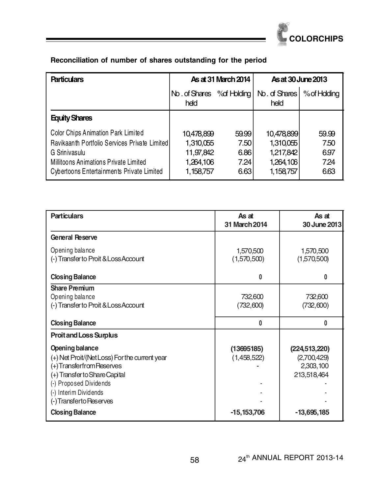

| <b>Particulars</b>                                                                                                                                                                         | As at 31 March 2014                                            |                                       |                                                                |                                      | As at 30 June 2013 |  |
|--------------------------------------------------------------------------------------------------------------------------------------------------------------------------------------------|----------------------------------------------------------------|---------------------------------------|----------------------------------------------------------------|--------------------------------------|--------------------|--|
|                                                                                                                                                                                            | No. of Shares % of Holding<br>held                             |                                       | No. of Shares<br>held                                          | % of Hdding                          |                    |  |
| <b>Equity Shares</b>                                                                                                                                                                       |                                                                |                                       |                                                                |                                      |                    |  |
| Color Chips Animation Park Limited<br>Ravikaanth Portfolio Services Private Limited<br>G Srinivasulu<br>Millitoons Animations Private Limited<br>Cybertoons Entertainments Private Limited | 10.478,899<br>1,310,055<br>11,97,842<br>1,264,106<br>1,158,757 | 59.99<br>7.50<br>6.86<br>7.24<br>6.63 | 10,478,899<br>1,310,055<br>1,217,842<br>1,264,106<br>1,158,757 | 59.99<br>7.50<br>6.97<br>724<br>6.63 |                    |  |

| <b>Particulars</b>                                                                                                                                                                                           | As at<br>31 March 2014    | As at<br>30 June 2013                                      |
|--------------------------------------------------------------------------------------------------------------------------------------------------------------------------------------------------------------|---------------------------|------------------------------------------------------------|
| <b>General Reserve</b>                                                                                                                                                                                       |                           |                                                            |
| Opening balance<br>(-) Transfer to Proit & Loss Account                                                                                                                                                      | 1,570,500<br>(1,570,500)  | 1,570,500<br>(1,570,500)                                   |
| <b>Closing Balance</b>                                                                                                                                                                                       | n                         | 0                                                          |
| <b>Share Premium</b><br>Opening balance<br>(-) Transfer to Proit & Loss Account                                                                                                                              | 732,600<br>(732,600)      | 732,600<br>(732,600)                                       |
| <b>Closing Balance</b>                                                                                                                                                                                       | 0                         | 0                                                          |
| <b>Proitand Loss Surplus</b>                                                                                                                                                                                 |                           |                                                            |
| Opening balance<br>(+) Net Proit/(Net Loss) For the current year<br>(+) Transferfrom Reserves<br>(+) Transfer to Share Capital<br>(-) Proposed Dividends<br>(-) Interim Dividends<br>(-) Transferto Reserves | (13695185)<br>(1,458,522) | (224, 513, 220)<br>(2,700,429)<br>2,303,100<br>213,518,464 |
| <b>Closing Balance</b>                                                                                                                                                                                       | $-15,153,706$             | $-13,695,185$                                              |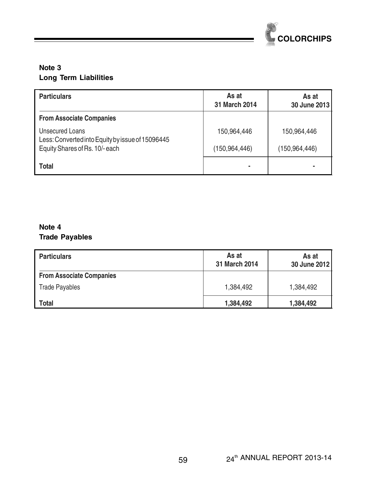

# **Note 3 Long Term Liabilities**

| <b>Particulars</b>                                                  | As at<br>31 March 2014 | As at<br>30 June 2013 |
|---------------------------------------------------------------------|------------------------|-----------------------|
| <b>From Associate Companies</b>                                     |                        |                       |
| Unsecured Loans<br>Less: Converted into Equity by issue of 15096445 | 150,964,446            | 150,964,446           |
| Equity Shares of Rs. 10/-each                                       | (150, 964, 446)        | (150.964.446)         |
| <b>Total</b>                                                        |                        |                       |

# **Note 4 Trade Payables**

| <b>Particulars</b>              | As at<br>31 March 2014 | As at<br>30 June 2012 |
|---------------------------------|------------------------|-----------------------|
| <b>From Associate Companies</b> |                        |                       |
| <b>Trade Payables</b>           | 1.384.492              | 1,384,492             |
| Total                           | 1,384,492              | 1,384,492             |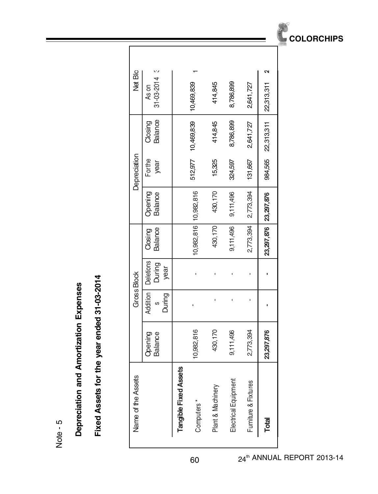Note - 5

# Depreciation and Amortization Expenses **Depreciation and Amortization Expenses**

# Fixed Assets for the year ended 31-03-2014 **Fixed Assets for the year ended 31-03-2014**

Г

|                    | $\mathbf{c}$                                  |                       |            |                   |                      |                      | ິ                         |
|--------------------|-----------------------------------------------|-----------------------|------------|-------------------|----------------------|----------------------|---------------------------|
| Net Blo            | $31 - 03 - 2014$<br>As on                     |                       | 10,469,839 | 414,845           | 8,786,899            | 2,641,727            | 22,313,311                |
|                    | <b>Balance</b><br>Closing                     |                       | 10,469,839 | 414,845           | 8,786,899            | 2,641,727            | 984,565 22,313,311        |
| Depreciation       | Forthe<br>year                                |                       | 512,977    | 15,325            | 324,597              | 131,667              |                           |
|                    | Opening<br><b>Balance</b>                     |                       | 10,982,816 | 430,170           | 9,111,496            | 2,773,394            |                           |
|                    | <b>Balance</b><br>Closing                     |                       | 10,982,816 | 430, 170          | 9,111,496            | 2,773,394            | 23, 297, 876 23, 297, 876 |
| <b>Gross Block</b> | <b>Addition   Deletions</b><br>During<br>year |                       |            |                   |                      |                      |                           |
|                    | During<br>S                                   |                       |            |                   |                      |                      |                           |
|                    | Opening<br><b>Balance</b>                     |                       | 10,982,816 | 430,170           | 9,111,496            | 2,773,394            | 23,297,876                |
| Name of the Assets |                                               | Tangible Fixed Assets | Computers* | Plant & Machinery | Electrical Equipment | Furniture & Fixtures | Total                     |

60 24<sup>th</sup> ANNUAL REPORT 2013-14

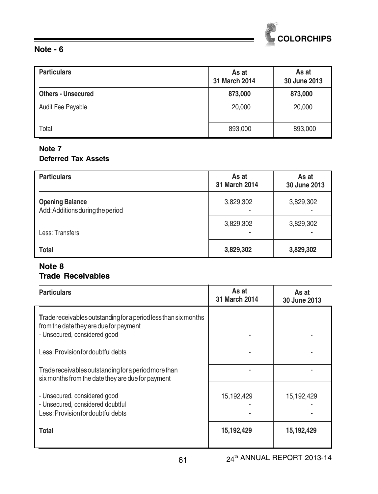

#### **Note - 6**

| <b>Particulars</b>        | As at<br>31 March 2014 | As at<br>30 June 2013 |
|---------------------------|------------------------|-----------------------|
| <b>Others - Unsecured</b> | 873,000                | 873,000               |
| Audit Fee Payable         | 20,000                 | 20,000                |
| Total                     | 893,000                | 893,000               |

#### **Note 7 Deferred Tax Assets**

| <b>Particulars</b>                                         | As at<br>31 March 2014 | As at<br>30 June 2013                 |
|------------------------------------------------------------|------------------------|---------------------------------------|
| <b>Opening Balance</b><br>Add: Additions during the period | 3,829,302              | 3,829,302                             |
| Less: Transfers                                            | 3,829,302              | 3,829,302<br>$\overline{\phantom{0}}$ |
| <b>Total</b>                                               | 3,829,302              | 3,829,302                             |

# **Note 8 Trade Receivables**

| <b>Particulars</b>                                                                                                                        | As at<br>31 March 2014 | As at<br>30 June 2013 |
|-------------------------------------------------------------------------------------------------------------------------------------------|------------------------|-----------------------|
| Trade receivables outstanding for a period less than six months<br>from the date they are due for payment<br>- Unsecured, considered good |                        |                       |
| Less: Provision for doubtful debts                                                                                                        |                        |                       |
| Trade receivables outstanding for a period more than<br>six months from the date they are due for payment                                 |                        |                       |
| - Unsecured, considered good<br>- Unsecured, considered doubtful<br>Less: Provision for doubtful debts                                    | 15,192,429             | 15,192,429            |
| <b>Total</b>                                                                                                                              | 15,192,429             | 15,192,429            |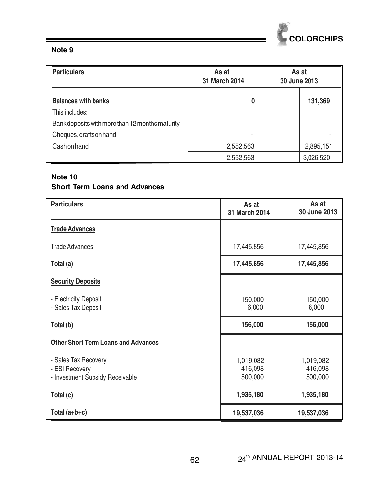

#### **Note 9**

| <b>Particulars</b>                              | As at | 31 March 2014  | As at<br>30 June 2013 |           |
|-------------------------------------------------|-------|----------------|-----------------------|-----------|
| <b>Balances with banks</b><br>This includes:    |       | 0              |                       | 131,369   |
| Bank deposits with more than 12 months maturity |       |                | ۰                     |           |
| Cheques, drafts on hand<br>Cash on hand         |       | ۰<br>2,552,563 |                       | 2,895,151 |
|                                                 |       | 2,552,563      |                       | 3,026,520 |

#### **Note 10 Short Term Loans and Advances**

| <b>Particulars</b>                                                        | As at<br>31 March 2014          | As at<br>30 June 2013           |
|---------------------------------------------------------------------------|---------------------------------|---------------------------------|
| <b>Trade Advances</b>                                                     |                                 |                                 |
| Trade Advances                                                            | 17,445,856                      | 17,445,856                      |
| Total (a)                                                                 | 17,445,856                      | 17,445,856                      |
| <b>Security Deposits</b>                                                  |                                 |                                 |
| - Electricity Deposit<br>- Sales Tax Deposit                              | 150,000<br>6,000                | 150,000<br>6,000                |
| Total (b)                                                                 | 156,000                         | 156,000                         |
| <b>Other Short Term Loans and Advances</b>                                |                                 |                                 |
| - Sales Tax Recovery<br>- ESI Recovery<br>- Investment Subsidy Receivable | 1,019,082<br>416,098<br>500,000 | 1,019,082<br>416,098<br>500,000 |
| Total (c)                                                                 | 1,935,180                       | 1,935,180                       |
| Total $(a+b+c)$                                                           | 19,537,036                      | 19,537,036                      |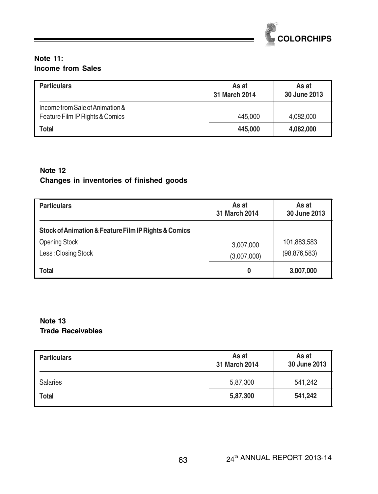

#### **Note 11: Income from Sales**

| <b>Particulars</b>                                                 | As at<br>31 March 2014 | As at<br>30 June 2013 |
|--------------------------------------------------------------------|------------------------|-----------------------|
| Income from Sale of Animation &<br>Feature Film IP Rights & Comics | 445,000                | 4.082.000             |
| Total                                                              | 445,000                | 4,082,000             |

# **Note 12 Changes in inventories of finished goods**

| <b>Particulars</b>                                                                                  | As at<br>31 March 2014   | As at<br>30 June 2013         |
|-----------------------------------------------------------------------------------------------------|--------------------------|-------------------------------|
| Stock of Animation & Feature Film IP Rights & Comics<br><b>Opening Stock</b><br>Less: Closing Stock | 3,007,000<br>(3,007,000) | 101,883,583<br>(98, 876, 583) |
| <b>Total</b>                                                                                        | 0                        | 3,007,000                     |

# **Note 13 Trade Receivables**

| <b>Particulars</b> | As at<br>31 March 2014 | As at<br>30 June 2013 |
|--------------------|------------------------|-----------------------|
| <b>Salaries</b>    | 5,87,300               | 541,242               |
| <b>Total</b>       | 5,87,300               | 541.242               |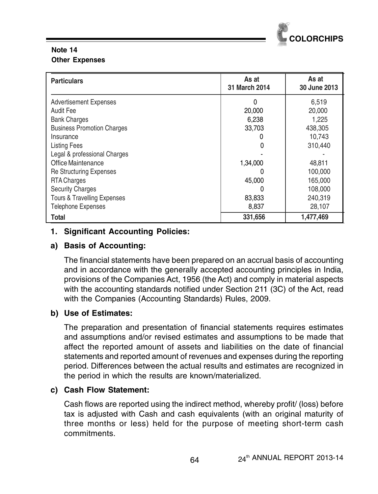

# **Note 14 Other Expenses**

| <b>Particulars</b>                | As at<br>31 March 2014 | As at<br>30 June 2013 |
|-----------------------------------|------------------------|-----------------------|
| <b>Advertisement Expenses</b>     | 0                      | 6,519                 |
| Audit Fee                         | 20,000                 | 20,000                |
| <b>Bank Charges</b>               | 6,238                  | 1.225                 |
| <b>Business Promotion Charges</b> | 33,703                 | 438,305               |
| Insurance                         |                        | 10,743                |
| <b>Listing Fees</b>               | 0                      | 310,440               |
| Legal & professional Charges      |                        |                       |
| Office Maintenance                | 1,34,000               | 48,811                |
| <b>Re Structuring Expenses</b>    | O                      | 100,000               |
| <b>RTA Charges</b>                | 45,000                 | 165,000               |
| <b>Security Charges</b>           | O                      | 108,000               |
| Tours & Travelling Expenses       | 83,833                 | 240,319               |
| <b>Telephone Expenses</b>         | 8,837                  | 28,107                |
| Total                             | 331,656                | 1,477,469             |

# **1. Significant Accounting Policies:**

# **a) Basis of Accounting:**

The financial statements have been prepared on an accrual basis of accounting and in accordance with the generally accepted accounting principles in India, provisions of the Companies Act, 1956 (the Act) and comply in material aspects with the accounting standards notified under Section 211 (3C) of the Act, read with the Companies (Accounting Standards) Rules, 2009.

# **b) Use of Estimates:**

The preparation and presentation of financial statements requires estimates and assumptions and/or revised estimates and assumptions to be made that affect the reported amount of assets and liabilities on the date of financial statements and reported amount of revenues and expenses during the reporting period. Differences between the actual results and estimates are recognized in the period in which the results are known/materialized.

# **c) Cash Flow Statement:**

Cash flows are reported using the indirect method, whereby profit/ (loss) before tax is adjusted with Cash and cash equivalents (with an original maturity of three months or less) held for the purpose of meeting short-term cash commitments.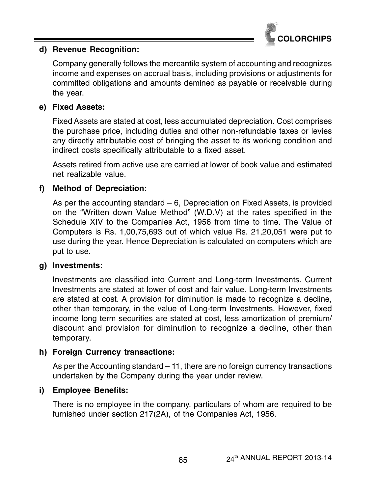

# **d) Revenue Recognition:**

Company generally follows the mercantile system of accounting and recognizes income and expenses on accrual basis, including provisions or adjustments for committed obligations and amounts demined as payable or receivable during the year.

# **e) Fixed Assets:**

Fixed Assets are stated at cost, less accumulated depreciation. Cost comprises the purchase price, including duties and other non-refundable taxes or levies any directly attributable cost of bringing the asset to its working condition and indirect costs specifically attributable to a fixed asset.

Assets retired from active use are carried at lower of book value and estimated net realizable value.

# **f) Method of Depreciation:**

As per the accounting standard – 6, Depreciation on Fixed Assets, is provided on the "Written down Value Method" (W.D.V) at the rates specified in the Schedule XIV to the Companies Act, 1956 from time to time. The Value of Computers is Rs. 1,00,75,693 out of which value Rs. 21,20,051 were put to use during the year. Hence Depreciation is calculated on computers which are put to use.

# **g) Investments:**

Investments are classified into Current and Long-term Investments. Current Investments are stated at lower of cost and fair value. Long-term Investments are stated at cost. A provision for diminution is made to recognize a decline, other than temporary, in the value of Long-term Investments. However, fixed income long term securities are stated at cost, less amortization of premium/ discount and provision for diminution to recognize a decline, other than temporary.

# **h) Foreign Currency transactions:**

As per the Accounting standard – 11, there are no foreign currency transactions undertaken by the Company during the year under review.

# **i) Employee Benefits:**

There is no employee in the company, particulars of whom are required to be furnished under section 217(2A), of the Companies Act, 1956.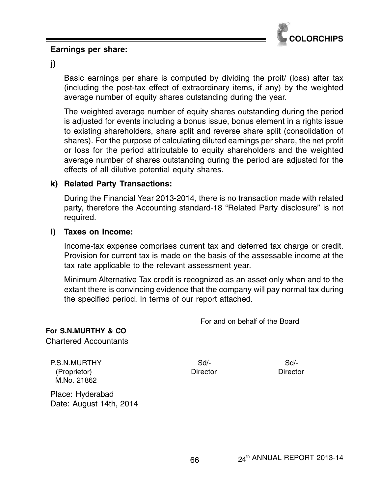

#### **Earnings per share:**

**j)**

Basic earnings per share is computed by dividing the proit/ (loss) after tax (including the post-tax effect of extraordinary items, if any) by the weighted average number of equity shares outstanding during the year.

The weighted average number of equity shares outstanding during the period is adjusted for events including a bonus issue, bonus element in a rights issue to existing shareholders, share split and reverse share split (consolidation of shares). For the purpose of calculating diluted earnings per share, the net profit or loss for the period attributable to equity shareholders and the weighted average number of shares outstanding during the period are adjusted for the effects of all dilutive potential equity shares.

#### **k) Related Party Transactions:**

During the Financial Year 2013-2014, there is no transaction made with related party, therefore the Accounting standard-18 "Related Party disclosure" is not required.

#### **l) Taxes on Income:**

Income-tax expense comprises current tax and deferred tax charge or credit. Provision for current tax is made on the basis of the assessable income at the tax rate applicable to the relevant assessment year.

Minimum Alternative Tax credit is recognized as an asset only when and to the extant there is convincing evidence that the company will pay normal tax during the specified period. In terms of our report attached.

For and on behalf of the Board

# **For S.N.MURTHY & CO**

Chartered Accountants

P.S.N.MURTHY Sd/- Sd/- Sd/- Sd/- (Proprietor) Director Director M.No. 21862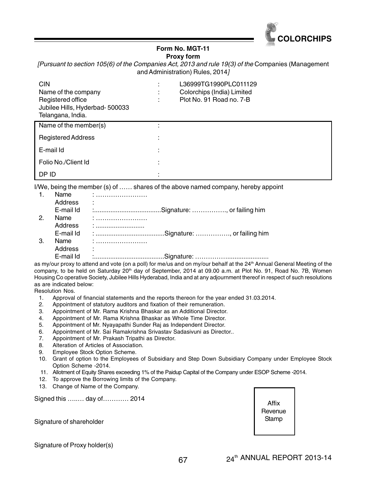

#### **Form No. MGT-11 Proxy form**

[Pursuant to section 105(6) of the Companies Act, 2013 and rule 19(3) of the Companies (Management and Administration) Rules, 2014]

| <b>CIN</b><br>Name of the company<br>Registered office<br>Jubilee Hills, Hyderbad- 500033<br>Telangana, India. | $\cdot$<br>$\overline{\phantom{a}}$ | L36999TG1990PLC011129<br>Colorchips (India) Limited<br>Plot No. 91 Road no. 7-B |
|----------------------------------------------------------------------------------------------------------------|-------------------------------------|---------------------------------------------------------------------------------|
| Name of the member(s)                                                                                          |                                     |                                                                                 |
| <b>Registered Address</b>                                                                                      |                                     |                                                                                 |
| E-mail Id                                                                                                      | ٠                                   |                                                                                 |
| Folio No./Client Id                                                                                            | ٠                                   |                                                                                 |
| DP ID                                                                                                          |                                     |                                                                                 |

I/We, being the member (s) of …… shares of the above named company, hereby appoint

|    | Name      |   |  |
|----|-----------|---|--|
|    | Address   | ٠ |  |
|    | E-mail Id |   |  |
| 2. | Name      |   |  |
|    | Address   |   |  |
|    | E-mail Id |   |  |
| 3. | Name      |   |  |
|    | Address   | ٠ |  |
|    | E-mail Id |   |  |

as my/our proxy to attend and vote (on a poll) for me/us and on my/our behalf at the 24<sup>th</sup> Annual General Meeting of the company, to be held on Saturday 20<sup>th</sup> day of September, 2014 at 09.00 a.m. at Plot No. 91, Road No. 7B, Women Housing Co operative Society, Jubilee Hills Hyderabad, India and at any adjournment thereof in respect of such resolutions as are indicated below:

Resolution Nos.

- 1. Approval of financial statements and the reports thereon for the year ended 31.03.2014.<br>2. Appointment of statutory auditors and fixation of their remuneration.
- Appointment of statutory auditors and fixation of their remuneration.
- 3. Appointment of Mr. Rama Krishna Bhaskar as an Additional Director.
- 4. Appointment of Mr. Rama Krishna Bhaskar as Whole Time Director.
- 
- 5. Appointment of Mr. Nyayapathi Sunder Raj as Independent Director.<br>6. Appointment of Mr. Sai Ramakrishna Srivastav Sadasivuni as Director. 6. Appointment of Mr. Sai Ramakrishna Srivastav Sadasivuni as Director..<br>7. Appointment of Mr. Prakash Tripathi as Director.
- Appointment of Mr. Prakash Tripathi as Director.
- 8. Alteration of Articles of Association.
- 9. Employee Stock Option Scheme.
- 10. Grant of option to the Employees of Subsidiary and Step Down Subsidiary Company under Employee Stock Option Scheme -2014.
- 11. Allotment of Equity Shares exceeding 1% of the Paidup Capital of the Company under ESOP Scheme -2014.
- 12. To approve the Borrowing limits of the Company.
- 13. Change of Name of the Company.

Signed this …..… day of………… 2014

Signature of shareholder



Signature of Proxy holder(s)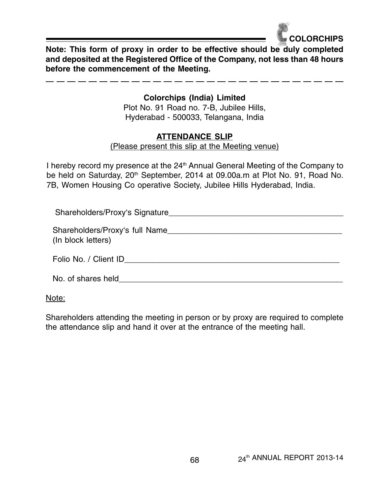

**Note: This form of proxy in order to be effective should be duly completed and deposited at the Registered Office of the Company, not less than 48 hours before the commencement of the Meeting.**

# **Colorchips (India) Limited**

Plot No. 91 Road no. 7-B, Jubilee Hills, Hyderabad - 500033, Telangana, India

# **ATTENDANCE SLIP**

(Please present this slip at the Meeting venue)

I hereby record my presence at the  $24<sup>th</sup>$  Annual General Meeting of the Company to be held on Saturday, 20<sup>th</sup> September, 2014 at 09.00a.m at Plot No. 91, Road No. 7B, Women Housing Co operative Society, Jubilee Hills Hyderabad, India.

Shareholders/Proxy's Signature\_\_\_\_\_\_\_\_\_\_\_\_\_\_\_\_\_\_\_\_\_\_\_\_\_\_\_\_\_\_\_\_\_\_\_\_\_\_\_

Shareholders/Proxy's full Name (In block letters)

Folio No. / Client ID\_\_\_\_\_\_\_\_\_\_\_\_\_\_\_\_\_\_\_\_\_\_\_\_\_\_\_\_\_\_\_\_\_\_\_\_\_\_\_\_\_\_\_\_\_\_\_\_

No. of shares held  $\Box$ 

Note:

Shareholders attending the meeting in person or by proxy are required to complete the attendance slip and hand it over at the entrance of the meeting hall.